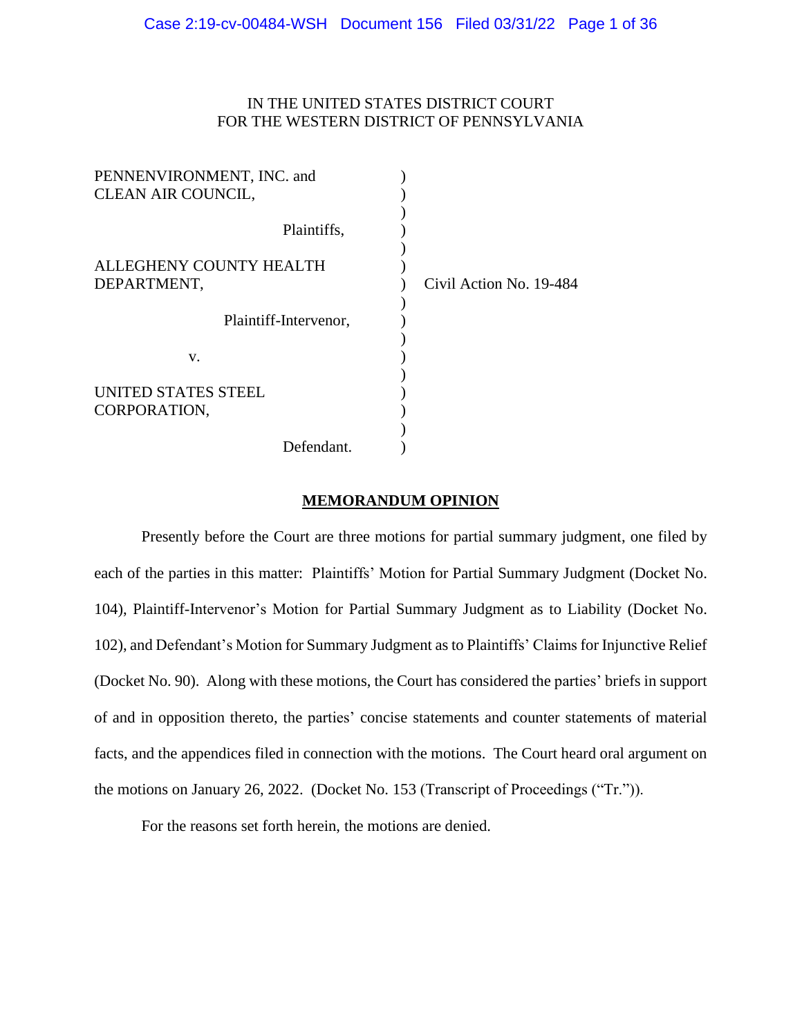## IN THE UNITED STATES DISTRICT COURT FOR THE WESTERN DISTRICT OF PENNSYLVANIA

| PENNENVIRONMENT, INC. and |                         |
|---------------------------|-------------------------|
| CLEAN AIR COUNCIL,        |                         |
|                           |                         |
| Plaintiffs,               |                         |
|                           |                         |
| ALLEGHENY COUNTY HEALTH   |                         |
| DEPARTMENT,               | Civil Action No. 19-484 |
|                           |                         |
| Plaintiff-Intervenor,     |                         |
|                           |                         |
| V.                        |                         |
|                           |                         |
| UNITED STATES STEEL       |                         |
| CORPORATION,              |                         |
|                           |                         |
| Defendant.                |                         |

#### **MEMORANDUM OPINION**

Presently before the Court are three motions for partial summary judgment, one filed by each of the parties in this matter: Plaintiffs' Motion for Partial Summary Judgment (Docket No. 104), Plaintiff-Intervenor's Motion for Partial Summary Judgment as to Liability (Docket No. 102), and Defendant's Motion for Summary Judgment as to Plaintiffs' Claims for Injunctive Relief (Docket No. 90). Along with these motions, the Court has considered the parties' briefs in support of and in opposition thereto, the parties' concise statements and counter statements of material facts, and the appendices filed in connection with the motions. The Court heard oral argument on the motions on January 26, 2022. (Docket No. 153 (Transcript of Proceedings ("Tr.")).

For the reasons set forth herein, the motions are denied.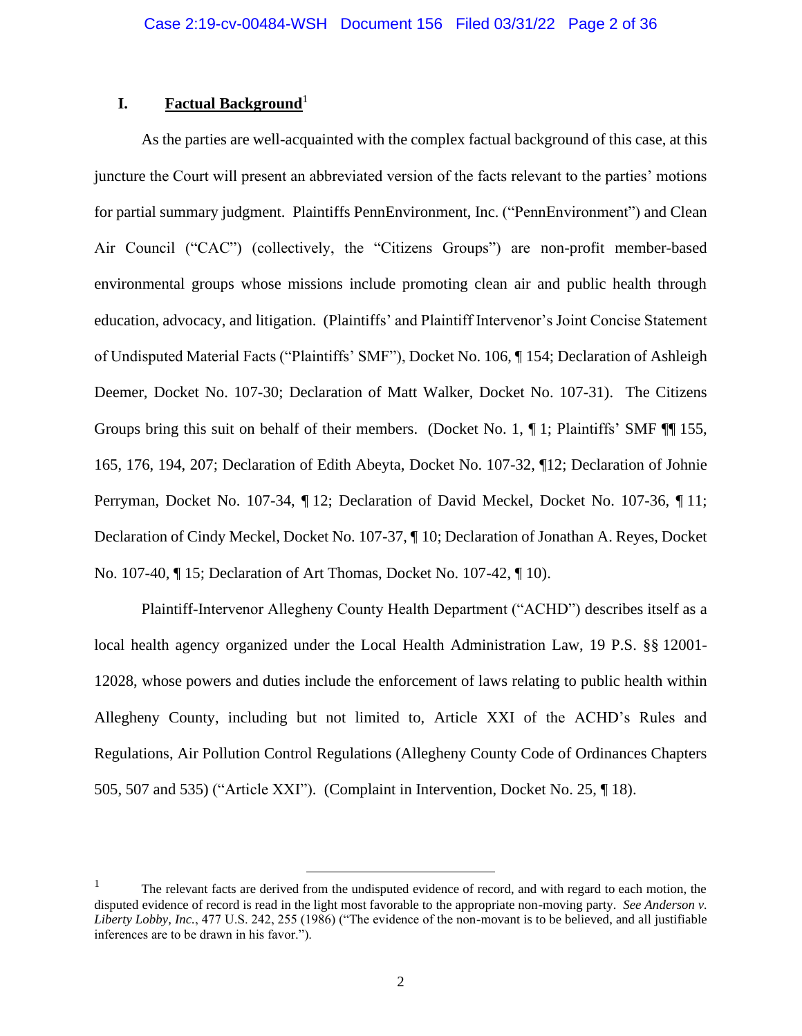## **I. Factual Background**<sup>1</sup>

As the parties are well-acquainted with the complex factual background of this case, at this juncture the Court will present an abbreviated version of the facts relevant to the parties' motions for partial summary judgment. Plaintiffs PennEnvironment, Inc. ("PennEnvironment") and Clean Air Council ("CAC") (collectively, the "Citizens Groups") are non-profit member-based environmental groups whose missions include promoting clean air and public health through education, advocacy, and litigation. (Plaintiffs' and Plaintiff Intervenor's Joint Concise Statement of Undisputed Material Facts ("Plaintiffs' SMF"), Docket No. 106, ¶ 154; Declaration of Ashleigh Deemer, Docket No. 107-30; Declaration of Matt Walker, Docket No. 107-31). The Citizens Groups bring this suit on behalf of their members. (Docket No. 1, ¶ 1; Plaintiffs' SMF ¶¶ 155, 165, 176, 194, 207; Declaration of Edith Abeyta, Docket No. 107-32, ¶12; Declaration of Johnie Perryman, Docket No. 107-34, ¶ 12; Declaration of David Meckel, Docket No. 107-36, ¶ 11; Declaration of Cindy Meckel, Docket No. 107-37, ¶ 10; Declaration of Jonathan A. Reyes, Docket No. 107-40, ¶ 15; Declaration of Art Thomas, Docket No. 107-42, ¶ 10).

Plaintiff-Intervenor Allegheny County Health Department ("ACHD") describes itself as a local health agency organized under the Local Health Administration Law, 19 P.S. §§ 12001- 12028, whose powers and duties include the enforcement of laws relating to public health within Allegheny County, including but not limited to, Article XXI of the ACHD's Rules and Regulations, Air Pollution Control Regulations (Allegheny County Code of Ordinances Chapters 505, 507 and 535) ("Article XXI"). (Complaint in Intervention, Docket No. 25, ¶ 18).

<sup>&</sup>lt;sup>1</sup> The relevant facts are derived from the undisputed evidence of record, and with regard to each motion, the disputed evidence of record is read in the light most favorable to the appropriate non-moving party. *See Anderson v. Liberty Lobby, Inc.*, 477 U.S. 242, 255 (1986) ("The evidence of the non-movant is to be believed, and all justifiable inferences are to be drawn in his favor.").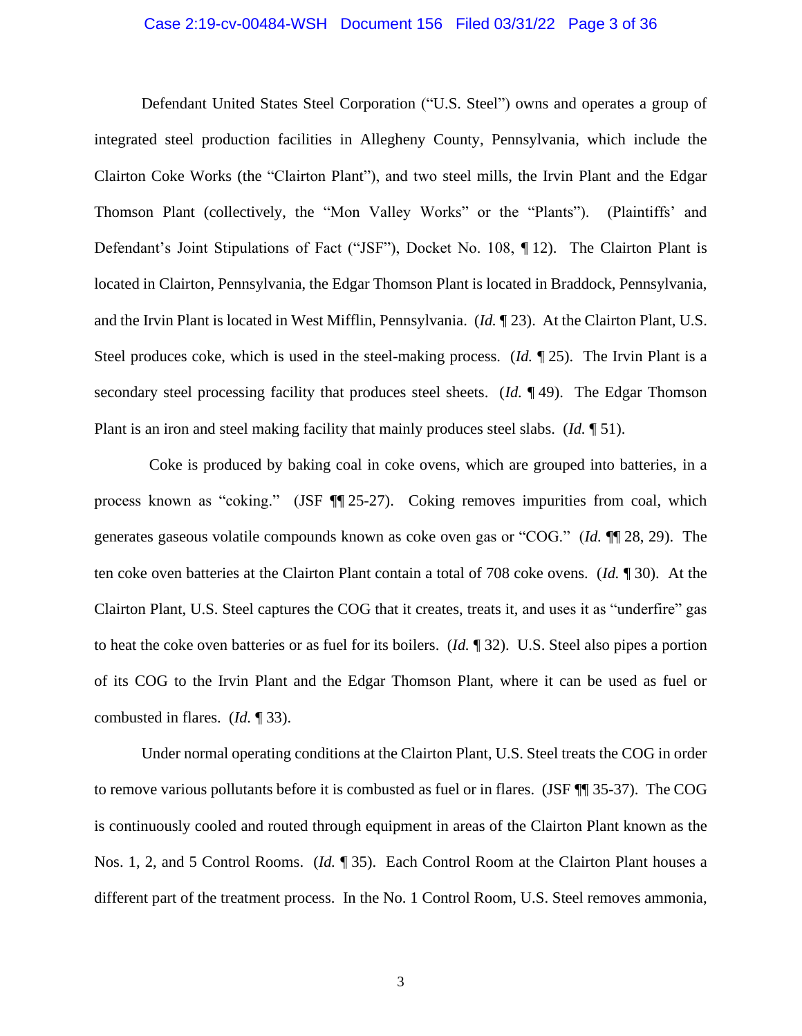#### Case 2:19-cv-00484-WSH Document 156 Filed 03/31/22 Page 3 of 36

Defendant United States Steel Corporation ("U.S. Steel") owns and operates a group of integrated steel production facilities in Allegheny County, Pennsylvania, which include the Clairton Coke Works (the "Clairton Plant"), and two steel mills, the Irvin Plant and the Edgar Thomson Plant (collectively, the "Mon Valley Works" or the "Plants"). (Plaintiffs' and Defendant's Joint Stipulations of Fact ("JSF"), Docket No. 108, ¶ 12). The Clairton Plant is located in Clairton, Pennsylvania, the Edgar Thomson Plant is located in Braddock, Pennsylvania, and the Irvin Plant is located in West Mifflin, Pennsylvania. (*Id.* ¶ 23). At the Clairton Plant, U.S. Steel produces coke, which is used in the steel-making process. (*Id.* ¶ 25). The Irvin Plant is a secondary steel processing facility that produces steel sheets. (*Id.* ¶ 49). The Edgar Thomson Plant is an iron and steel making facility that mainly produces steel slabs. (*Id.* ¶ 51).

 Coke is produced by baking coal in coke ovens, which are grouped into batteries, in a process known as "coking." (JSF ¶¶ 25-27). Coking removes impurities from coal, which generates gaseous volatile compounds known as coke oven gas or "COG." (*Id.* ¶¶ 28, 29). The ten coke oven batteries at the Clairton Plant contain a total of 708 coke ovens. (*Id.* ¶ 30). At the Clairton Plant, U.S. Steel captures the COG that it creates, treats it, and uses it as "underfire" gas to heat the coke oven batteries or as fuel for its boilers. (*Id.* ¶ 32). U.S. Steel also pipes a portion of its COG to the Irvin Plant and the Edgar Thomson Plant, where it can be used as fuel or combusted in flares. (*Id.* ¶ 33).

Under normal operating conditions at the Clairton Plant, U.S. Steel treats the COG in order to remove various pollutants before it is combusted as fuel or in flares. (JSF ¶¶ 35-37). The COG is continuously cooled and routed through equipment in areas of the Clairton Plant known as the Nos. 1, 2, and 5 Control Rooms. (*Id.* ¶ 35). Each Control Room at the Clairton Plant houses a different part of the treatment process. In the No. 1 Control Room, U.S. Steel removes ammonia,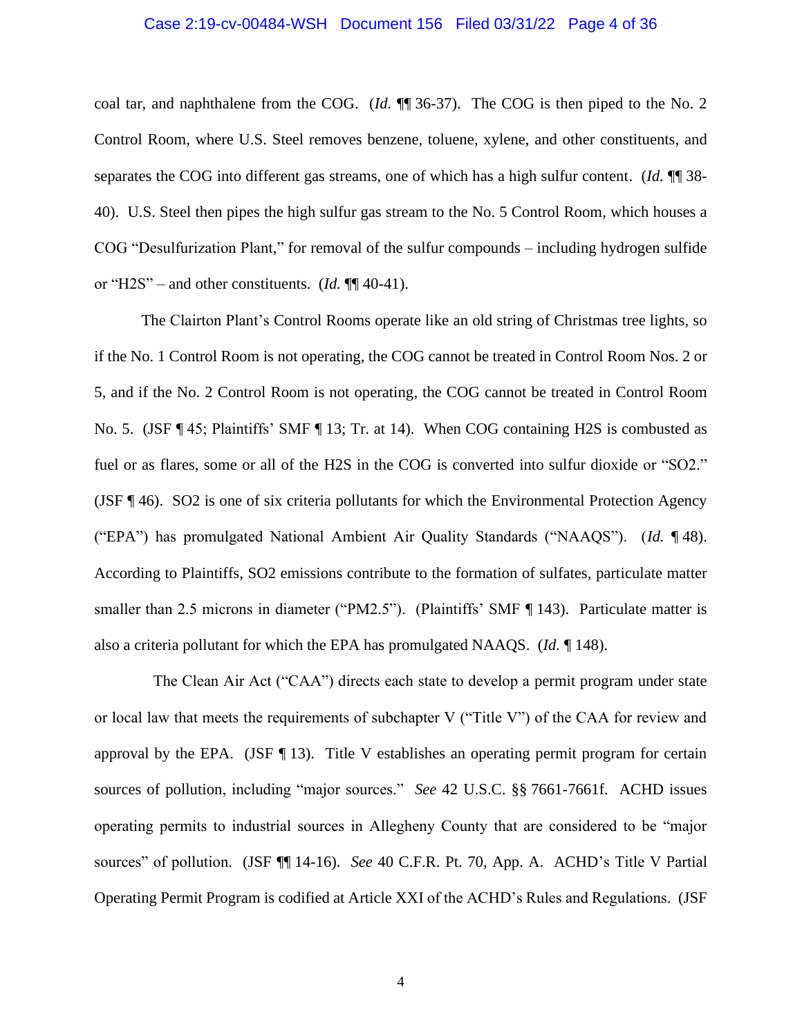#### Case 2:19-cv-00484-WSH Document 156 Filed 03/31/22 Page 4 of 36

coal tar, and naphthalene from the COG. (*Id.* ¶¶ 36-37). The COG is then piped to the No. 2 Control Room, where U.S. Steel removes benzene, toluene, xylene, and other constituents, and separates the COG into different gas streams, one of which has a high sulfur content. (*Id.* ¶¶ 38- 40). U.S. Steel then pipes the high sulfur gas stream to the No. 5 Control Room, which houses a COG "Desulfurization Plant," for removal of the sulfur compounds – including hydrogen sulfide or "H2S" – and other constituents. (*Id.* ¶¶ 40-41).

The Clairton Plant's Control Rooms operate like an old string of Christmas tree lights, so if the No. 1 Control Room is not operating, the COG cannot be treated in Control Room Nos. 2 or 5, and if the No. 2 Control Room is not operating, the COG cannot be treated in Control Room No. 5. (JSF ¶ 45; Plaintiffs' SMF ¶ 13; Tr. at 14). When COG containing H2S is combusted as fuel or as flares, some or all of the H2S in the COG is converted into sulfur dioxide or "SO2." (JSF ¶ 46). SO2 is one of six criteria pollutants for which the Environmental Protection Agency ("EPA") has promulgated National Ambient Air Quality Standards ("NAAQS"). (*Id.* ¶ 48). According to Plaintiffs, SO2 emissions contribute to the formation of sulfates, particulate matter smaller than 2.5 microns in diameter ("PM2.5"). (Plaintiffs' SMF ¶ 143). Particulate matter is also a criteria pollutant for which the EPA has promulgated NAAQS. (*Id.* ¶ 148).

 The Clean Air Act ("CAA") directs each state to develop a permit program under state or local law that meets the requirements of subchapter V ("Title V") of the CAA for review and approval by the EPA. (JSF  $\P$  13). Title V establishes an operating permit program for certain sources of pollution, including "major sources." *See* 42 U.S.C. §§ 7661-7661f. ACHD issues operating permits to industrial sources in Allegheny County that are considered to be "major sources" of pollution. (JSF ¶¶ 14-16). *See* 40 C.F.R. Pt. 70, App. A. ACHD's Title V Partial Operating Permit Program is codified at Article XXI of the ACHD's Rules and Regulations. (JSF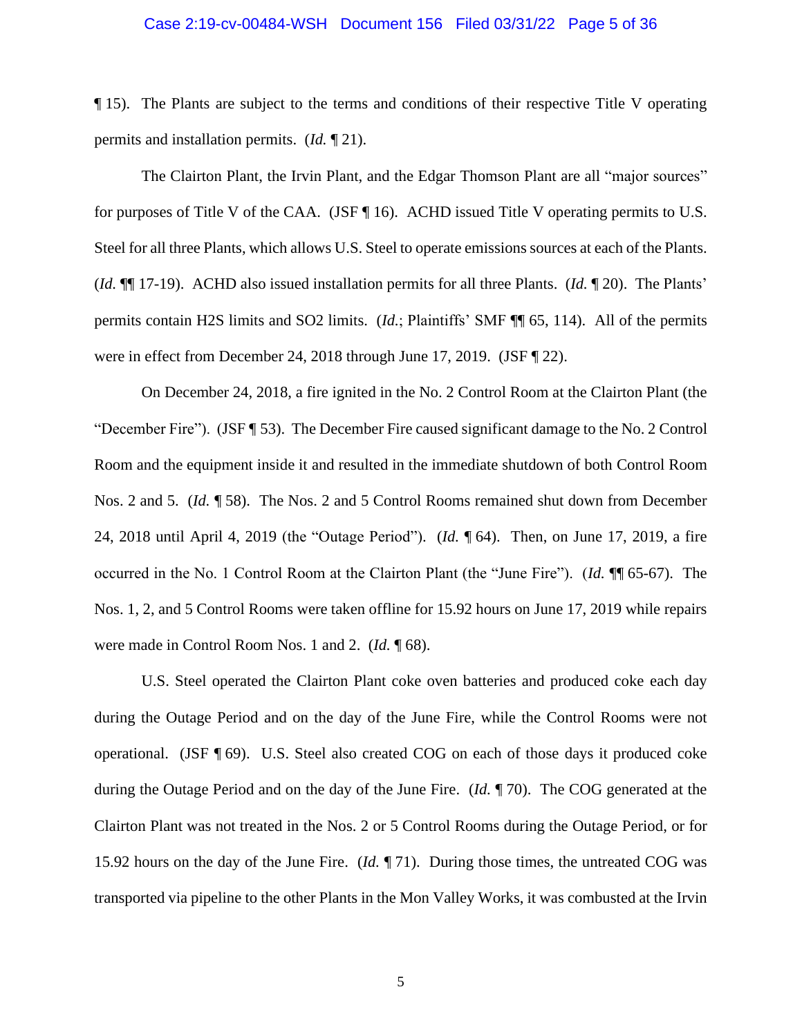#### Case 2:19-cv-00484-WSH Document 156 Filed 03/31/22 Page 5 of 36

¶ 15). The Plants are subject to the terms and conditions of their respective Title V operating permits and installation permits. (*Id.* ¶ 21).

The Clairton Plant, the Irvin Plant, and the Edgar Thomson Plant are all "major sources" for purposes of Title V of the CAA. (JSF ¶ 16). ACHD issued Title V operating permits to U.S. Steel for all three Plants, which allows U.S. Steel to operate emissions sources at each of the Plants. (*Id.* ¶¶ 17-19). ACHD also issued installation permits for all three Plants. (*Id.* ¶ 20). The Plants' permits contain H2S limits and SO2 limits. (*Id.*; Plaintiffs' SMF ¶¶ 65, 114). All of the permits were in effect from December 24, 2018 through June 17, 2019. (JSF ¶ 22).

On December 24, 2018, a fire ignited in the No. 2 Control Room at the Clairton Plant (the "December Fire"). (JSF ¶ 53). The December Fire caused significant damage to the No. 2 Control Room and the equipment inside it and resulted in the immediate shutdown of both Control Room Nos. 2 and 5. (*Id.* ¶ 58). The Nos. 2 and 5 Control Rooms remained shut down from December 24, 2018 until April 4, 2019 (the "Outage Period"). (*Id.* ¶ 64). Then, on June 17, 2019, a fire occurred in the No. 1 Control Room at the Clairton Plant (the "June Fire"). (*Id.* ¶¶ 65-67). The Nos. 1, 2, and 5 Control Rooms were taken offline for 15.92 hours on June 17, 2019 while repairs were made in Control Room Nos. 1 and 2. (*Id.* ¶ 68).

U.S. Steel operated the Clairton Plant coke oven batteries and produced coke each day during the Outage Period and on the day of the June Fire, while the Control Rooms were not operational. (JSF ¶ 69). U.S. Steel also created COG on each of those days it produced coke during the Outage Period and on the day of the June Fire. (*Id.* ¶ 70). The COG generated at the Clairton Plant was not treated in the Nos. 2 or 5 Control Rooms during the Outage Period, or for 15.92 hours on the day of the June Fire. (*Id.* ¶ 71). During those times, the untreated COG was transported via pipeline to the other Plants in the Mon Valley Works, it was combusted at the Irvin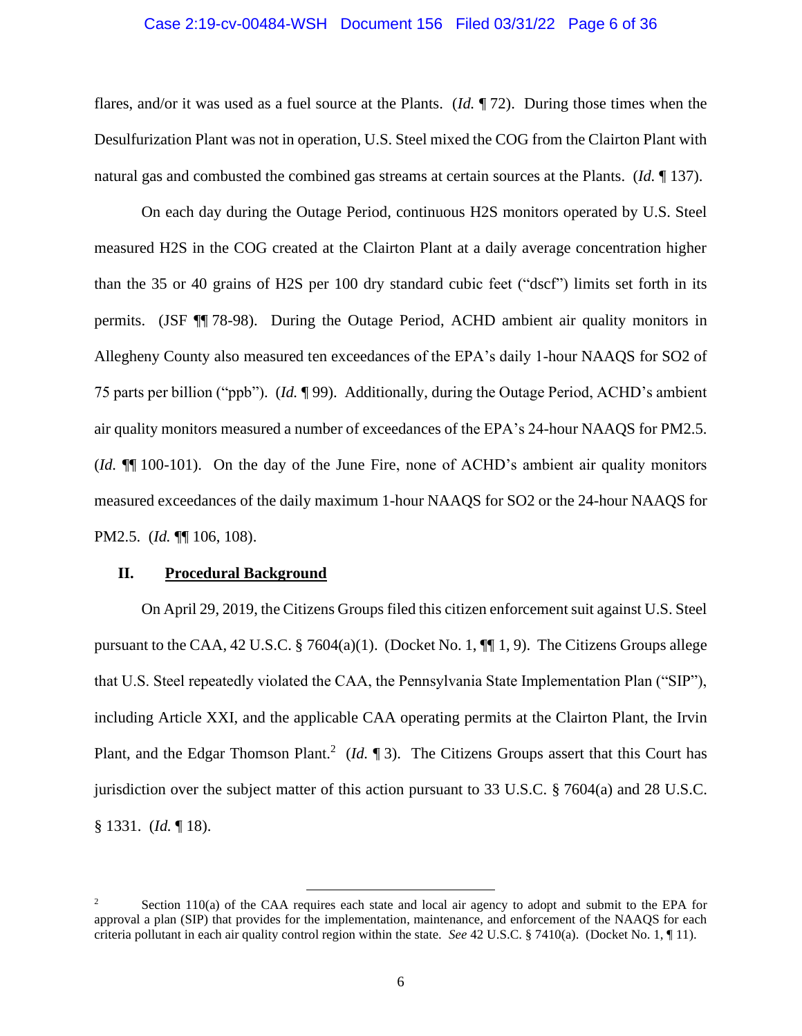#### Case 2:19-cv-00484-WSH Document 156 Filed 03/31/22 Page 6 of 36

flares, and/or it was used as a fuel source at the Plants. (*Id.* ¶ 72). During those times when the Desulfurization Plant was not in operation, U.S. Steel mixed the COG from the Clairton Plant with natural gas and combusted the combined gas streams at certain sources at the Plants. (*Id.* ¶ 137).

On each day during the Outage Period, continuous H2S monitors operated by U.S. Steel measured H2S in the COG created at the Clairton Plant at a daily average concentration higher than the 35 or 40 grains of H2S per 100 dry standard cubic feet ("dscf") limits set forth in its permits. (JSF ¶¶ 78-98). During the Outage Period, ACHD ambient air quality monitors in Allegheny County also measured ten exceedances of the EPA's daily 1-hour NAAQS for SO2 of 75 parts per billion ("ppb"). (*Id.* ¶ 99). Additionally, during the Outage Period, ACHD's ambient air quality monitors measured a number of exceedances of the EPA's 24-hour NAAQS for PM2.5. (*Id.* ¶¶ 100-101). On the day of the June Fire, none of ACHD's ambient air quality monitors measured exceedances of the daily maximum 1-hour NAAQS for SO2 or the 24-hour NAAQS for PM2.5. (*Id.* ¶¶ 106, 108).

#### **II. Procedural Background**

On April 29, 2019, the Citizens Groups filed this citizen enforcement suit against U.S. Steel pursuant to the CAA, 42 U.S.C.  $\S$  7604(a)(1). (Docket No. 1,  $\P$ [1, 9). The Citizens Groups allege that U.S. Steel repeatedly violated the CAA, the Pennsylvania State Implementation Plan ("SIP"), including Article XXI, and the applicable CAA operating permits at the Clairton Plant, the Irvin Plant, and the Edgar Thomson Plant.<sup>2</sup> (*Id.*  $\llbracket 3$ ). The Citizens Groups assert that this Court has jurisdiction over the subject matter of this action pursuant to 33 U.S.C. § 7604(a) and 28 U.S.C. § 1331. (*Id.* ¶ 18).

<sup>2</sup> Section 110(a) of the CAA requires each state and local air agency to adopt and submit to the EPA for approval a plan (SIP) that provides for the implementation, maintenance, and enforcement of the NAAQS for each criteria pollutant in each air quality control region within the state. *See* 42 U.S.C. § 7410(a). (Docket No. 1, ¶ 11).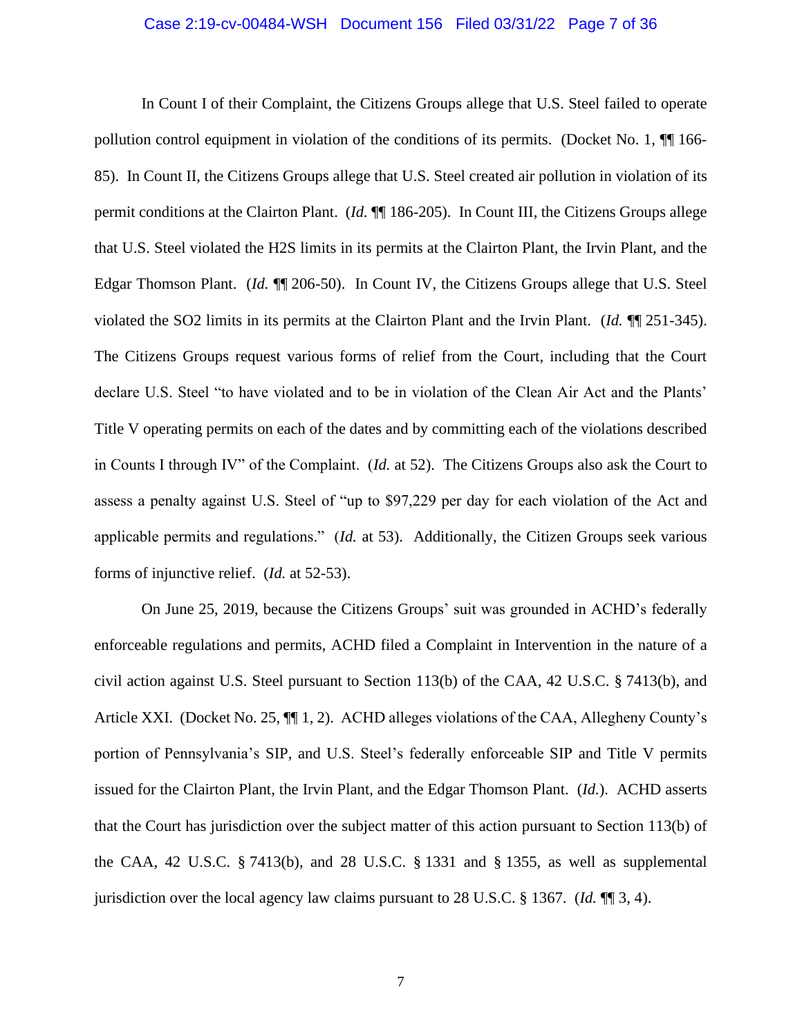#### Case 2:19-cv-00484-WSH Document 156 Filed 03/31/22 Page 7 of 36

In Count I of their Complaint, the Citizens Groups allege that U.S. Steel failed to operate pollution control equipment in violation of the conditions of its permits. (Docket No. 1,  $\P$  166-85). In Count II, the Citizens Groups allege that U.S. Steel created air pollution in violation of its permit conditions at the Clairton Plant. (*Id.* ¶¶ 186-205). In Count III, the Citizens Groups allege that U.S. Steel violated the H2S limits in its permits at the Clairton Plant, the Irvin Plant, and the Edgar Thomson Plant. (*Id.* ¶¶ 206-50). In Count IV, the Citizens Groups allege that U.S. Steel violated the SO2 limits in its permits at the Clairton Plant and the Irvin Plant. (*Id.* ¶¶ 251-345). The Citizens Groups request various forms of relief from the Court, including that the Court declare U.S. Steel "to have violated and to be in violation of the Clean Air Act and the Plants' Title V operating permits on each of the dates and by committing each of the violations described in Counts I through IV" of the Complaint. (*Id.* at 52). The Citizens Groups also ask the Court to assess a penalty against U.S. Steel of "up to \$97,229 per day for each violation of the Act and applicable permits and regulations." (*Id.* at 53). Additionally, the Citizen Groups seek various forms of injunctive relief. (*Id.* at 52-53).

On June 25, 2019, because the Citizens Groups' suit was grounded in ACHD's federally enforceable regulations and permits, ACHD filed a Complaint in Intervention in the nature of a civil action against U.S. Steel pursuant to Section 113(b) of the CAA, 42 U.S.C. § 7413(b), and Article XXI. (Docket No. 25,  $\P$  $[1, 2)$ . ACHD alleges violations of the CAA, Allegheny County's portion of Pennsylvania's SIP, and U.S. Steel's federally enforceable SIP and Title V permits issued for the Clairton Plant, the Irvin Plant, and the Edgar Thomson Plant. (*Id.*). ACHD asserts that the Court has jurisdiction over the subject matter of this action pursuant to Section 113(b) of the CAA, 42 U.S.C. § 7413(b), and 28 U.S.C. § 1331 and § 1355, as well as supplemental jurisdiction over the local agency law claims pursuant to 28 U.S.C. § 1367. (*Id.* ¶¶ 3, 4).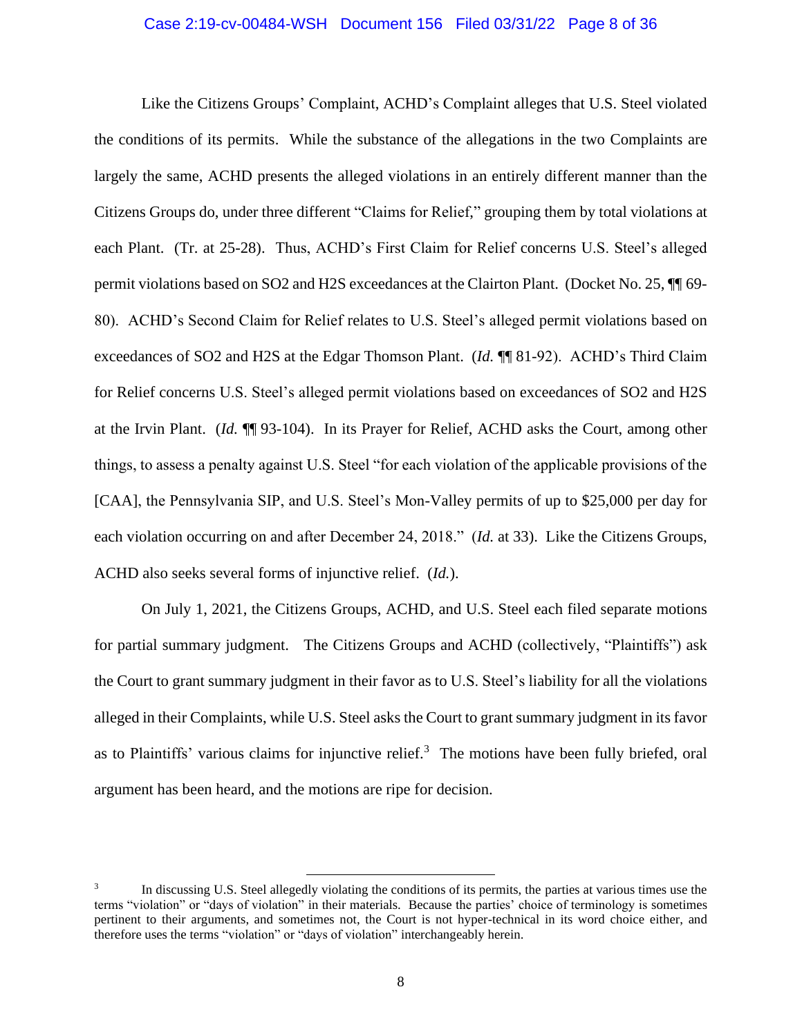#### Case 2:19-cv-00484-WSH Document 156 Filed 03/31/22 Page 8 of 36

Like the Citizens Groups' Complaint, ACHD's Complaint alleges that U.S. Steel violated the conditions of its permits. While the substance of the allegations in the two Complaints are largely the same, ACHD presents the alleged violations in an entirely different manner than the Citizens Groups do, under three different "Claims for Relief," grouping them by total violations at each Plant. (Tr. at 25-28). Thus, ACHD's First Claim for Relief concerns U.S. Steel's alleged permit violations based on SO2 and H2S exceedances at the Clairton Plant. (Docket No. 25, ¶¶ 69- 80). ACHD's Second Claim for Relief relates to U.S. Steel's alleged permit violations based on exceedances of SO2 and H2S at the Edgar Thomson Plant. (*Id.* ¶¶ 81-92). ACHD's Third Claim for Relief concerns U.S. Steel's alleged permit violations based on exceedances of SO2 and H2S at the Irvin Plant. (*Id.* ¶¶ 93-104). In its Prayer for Relief, ACHD asks the Court, among other things, to assess a penalty against U.S. Steel "for each violation of the applicable provisions of the [CAA], the Pennsylvania SIP, and U.S. Steel's Mon-Valley permits of up to \$25,000 per day for each violation occurring on and after December 24, 2018." (*Id.* at 33). Like the Citizens Groups, ACHD also seeks several forms of injunctive relief. (*Id.*).

On July 1, 2021, the Citizens Groups, ACHD, and U.S. Steel each filed separate motions for partial summary judgment. The Citizens Groups and ACHD (collectively, "Plaintiffs") ask the Court to grant summary judgment in their favor as to U.S. Steel's liability for all the violations alleged in their Complaints, while U.S. Steel asks the Court to grant summary judgment in its favor as to Plaintiffs' various claims for injunctive relief.<sup>3</sup> The motions have been fully briefed, oral argument has been heard, and the motions are ripe for decision.

<sup>3</sup> In discussing U.S. Steel allegedly violating the conditions of its permits, the parties at various times use the terms "violation" or "days of violation" in their materials. Because the parties' choice of terminology is sometimes pertinent to their arguments, and sometimes not, the Court is not hyper-technical in its word choice either, and therefore uses the terms "violation" or "days of violation" interchangeably herein.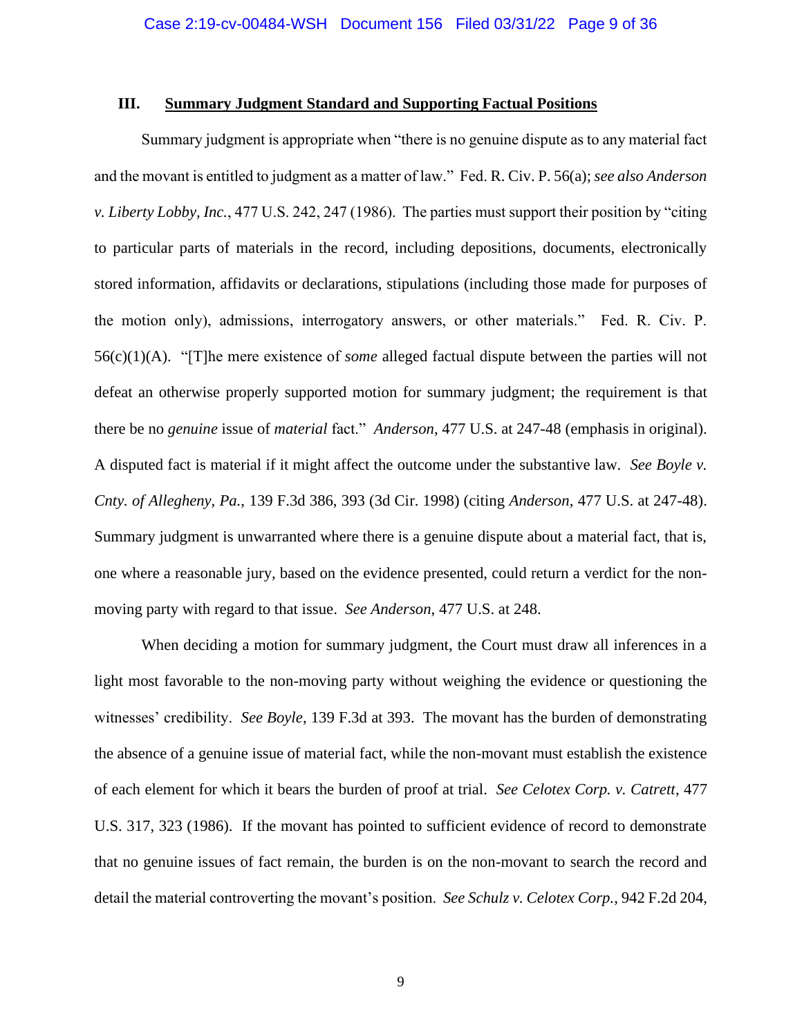#### **III. Summary Judgment Standard and Supporting Factual Positions**

Summary judgment is appropriate when "there is no genuine dispute as to any material fact and the movant is entitled to judgment as a matter of law." Fed. R. Civ. P. 56(a); *see also Anderson v. Liberty Lobby, Inc.*, 477 U.S. 242, 247 (1986). The parties must support their position by "citing to particular parts of materials in the record, including depositions, documents, electronically stored information, affidavits or declarations, stipulations (including those made for purposes of the motion only), admissions, interrogatory answers, or other materials." Fed. R. Civ. P. 56(c)(1)(A). "[T]he mere existence of *some* alleged factual dispute between the parties will not defeat an otherwise properly supported motion for summary judgment; the requirement is that there be no *genuine* issue of *material* fact." *Anderson*, 477 U.S. at 247-48 (emphasis in original). A disputed fact is material if it might affect the outcome under the substantive law. *See Boyle v. Cnty. of Allegheny, Pa.*, 139 F.3d 386, 393 (3d Cir. 1998) (citing *Anderson*, 477 U.S. at 247-48). Summary judgment is unwarranted where there is a genuine dispute about a material fact, that is, one where a reasonable jury, based on the evidence presented, could return a verdict for the nonmoving party with regard to that issue. *See Anderson*, 477 U.S. at 248.

When deciding a motion for summary judgment, the Court must draw all inferences in a light most favorable to the non-moving party without weighing the evidence or questioning the witnesses' credibility. *See Boyle*, 139 F.3d at 393. The movant has the burden of demonstrating the absence of a genuine issue of material fact, while the non-movant must establish the existence of each element for which it bears the burden of proof at trial. *See Celotex Corp. v. Catrett*, 477 U.S. 317, 323 (1986). If the movant has pointed to sufficient evidence of record to demonstrate that no genuine issues of fact remain, the burden is on the non-movant to search the record and detail the material controverting the movant's position. *See Schulz v. Celotex Corp.*, 942 F.2d 204,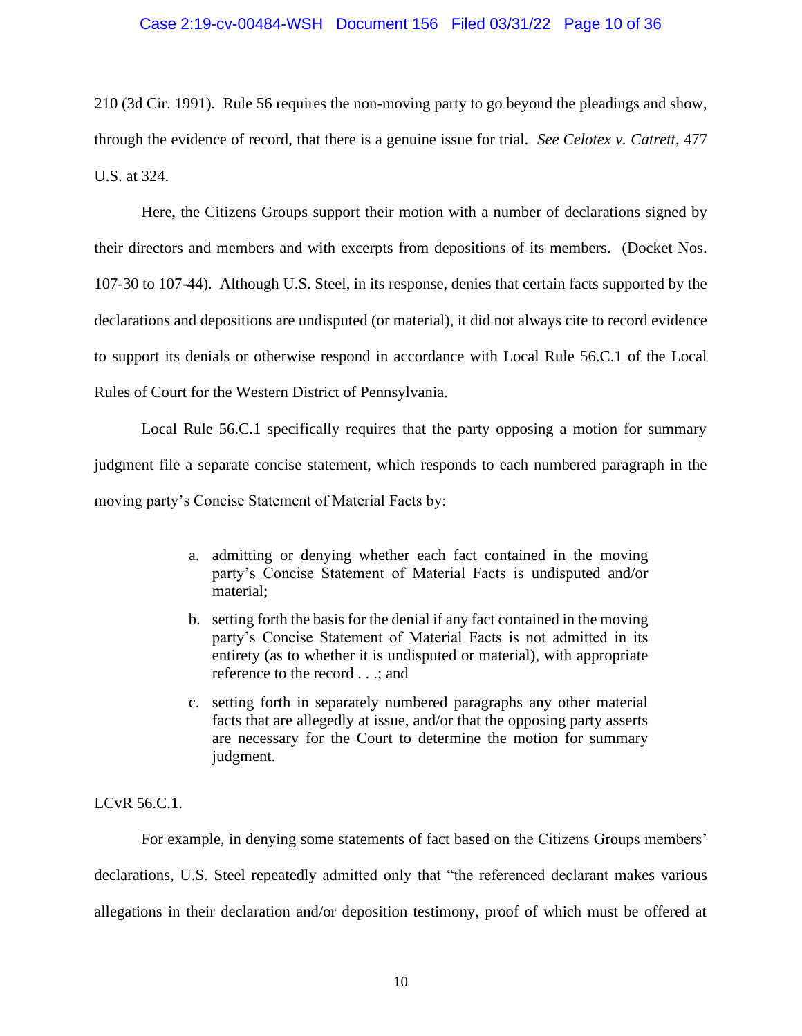210 (3d Cir. 1991). Rule 56 requires the non-moving party to go beyond the pleadings and show, through the evidence of record, that there is a genuine issue for trial. *See Celotex v. Catrett*, 477 U.S. at 324.

Here, the Citizens Groups support their motion with a number of declarations signed by their directors and members and with excerpts from depositions of its members. (Docket Nos. 107-30 to 107-44). Although U.S. Steel, in its response, denies that certain facts supported by the declarations and depositions are undisputed (or material), it did not always cite to record evidence to support its denials or otherwise respond in accordance with Local Rule 56.C.1 of the Local Rules of Court for the Western District of Pennsylvania.

Local Rule 56.C.1 specifically requires that the party opposing a motion for summary judgment file a separate concise statement, which responds to each numbered paragraph in the moving party's Concise Statement of Material Facts by:

- a. admitting or denying whether each fact contained in the moving party's Concise Statement of Material Facts is undisputed and/or material;
- b. setting forth the basis for the denial if any fact contained in the moving party's Concise Statement of Material Facts is not admitted in its entirety (as to whether it is undisputed or material), with appropriate reference to the record . . .; and
- c. setting forth in separately numbered paragraphs any other material facts that are allegedly at issue, and/or that the opposing party asserts are necessary for the Court to determine the motion for summary judgment.

LCvR 56.C.1.

 For example, in denying some statements of fact based on the Citizens Groups members' declarations, U.S. Steel repeatedly admitted only that "the referenced declarant makes various allegations in their declaration and/or deposition testimony, proof of which must be offered at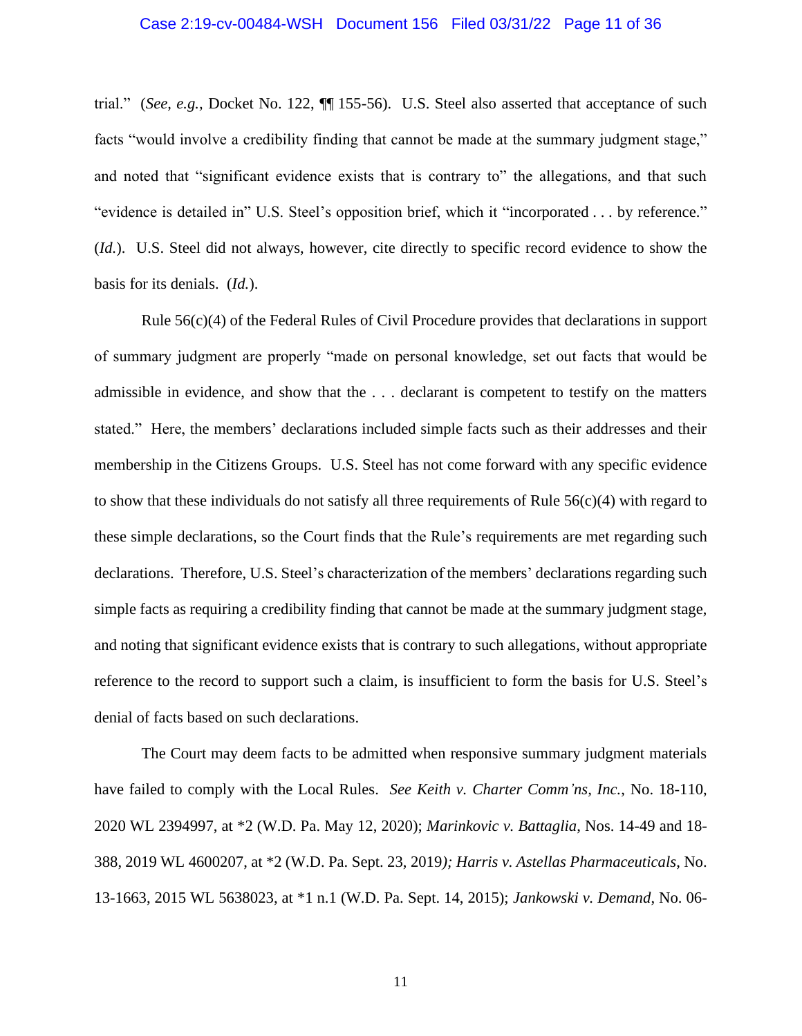#### Case 2:19-cv-00484-WSH Document 156 Filed 03/31/22 Page 11 of 36

trial." (*See, e.g.,* Docket No. 122, ¶¶ 155-56). U.S. Steel also asserted that acceptance of such facts "would involve a credibility finding that cannot be made at the summary judgment stage," and noted that "significant evidence exists that is contrary to" the allegations, and that such "evidence is detailed in" U.S. Steel's opposition brief, which it "incorporated . . . by reference." (*Id.*). U.S. Steel did not always, however, cite directly to specific record evidence to show the basis for its denials. (*Id.*).

Rule 56(c)(4) of the Federal Rules of Civil Procedure provides that declarations in support of summary judgment are properly "made on personal knowledge, set out facts that would be admissible in evidence, and show that the . . . declarant is competent to testify on the matters stated." Here, the members' declarations included simple facts such as their addresses and their membership in the Citizens Groups. U.S. Steel has not come forward with any specific evidence to show that these individuals do not satisfy all three requirements of Rule  $56(c)(4)$  with regard to these simple declarations, so the Court finds that the Rule's requirements are met regarding such declarations. Therefore, U.S. Steel's characterization of the members' declarations regarding such simple facts as requiring a credibility finding that cannot be made at the summary judgment stage, and noting that significant evidence exists that is contrary to such allegations, without appropriate reference to the record to support such a claim, is insufficient to form the basis for U.S. Steel's denial of facts based on such declarations.

The Court may deem facts to be admitted when responsive summary judgment materials have failed to comply with the Local Rules. *See Keith v. Charter Comm'ns, Inc.*, No. 18-110, 2020 WL 2394997, at \*2 (W.D. Pa. May 12, 2020); *Marinkovic v. Battaglia*, Nos. 14-49 and 18- 388, 2019 WL 4600207, at \*2 (W.D. Pa. Sept. 23, 2019*); Harris v. Astellas Pharmaceuticals*, No. 13-1663, 2015 WL 5638023, at \*1 n.1 (W.D. Pa. Sept. 14, 2015); *Jankowski v. Demand*, No. 06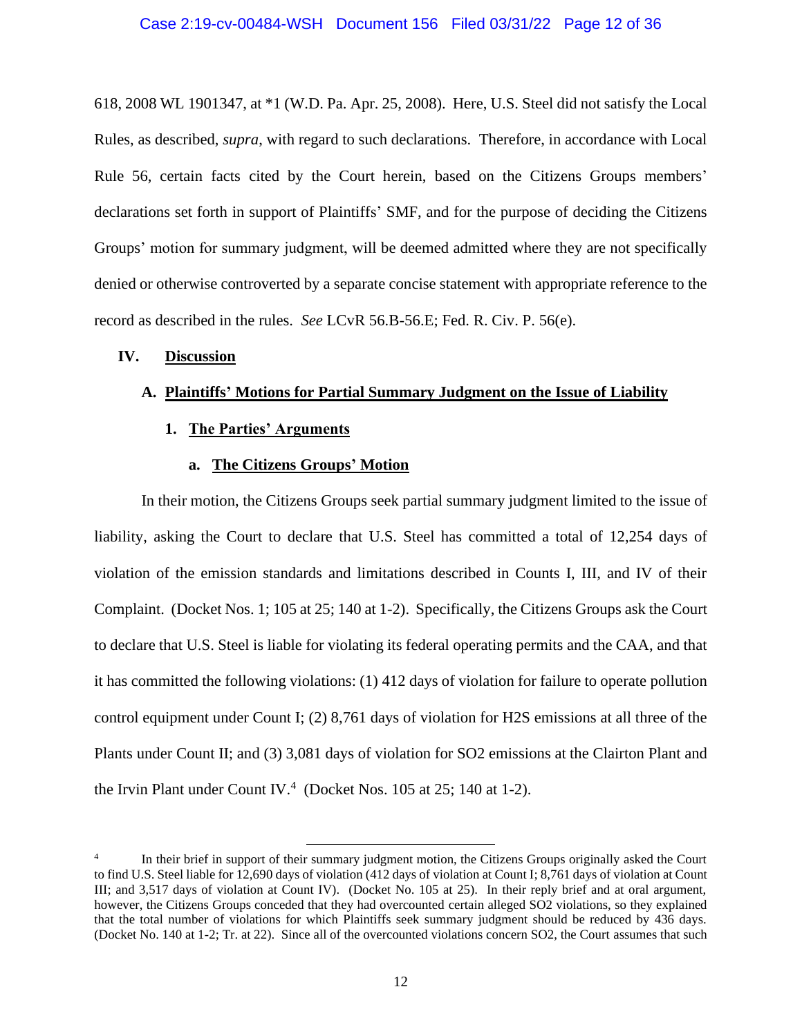618, 2008 WL 1901347, at \*1 (W.D. Pa. Apr. 25, 2008). Here, U.S. Steel did not satisfy the Local Rules, as described, *supra*, with regard to such declarations. Therefore, in accordance with Local Rule 56, certain facts cited by the Court herein, based on the Citizens Groups members' declarations set forth in support of Plaintiffs' SMF, and for the purpose of deciding the Citizens Groups' motion for summary judgment, will be deemed admitted where they are not specifically denied or otherwise controverted by a separate concise statement with appropriate reference to the record as described in the rules. *See* LCvR 56.B-56.E; Fed. R. Civ. P. 56(e).

## **IV. Discussion**

## **A. Plaintiffs' Motions for Partial Summary Judgment on the Issue of Liability**

**1. The Parties' Arguments**

#### **a. The Citizens Groups' Motion**

In their motion, the Citizens Groups seek partial summary judgment limited to the issue of liability, asking the Court to declare that U.S. Steel has committed a total of 12,254 days of violation of the emission standards and limitations described in Counts I, III, and IV of their Complaint. (Docket Nos. 1; 105 at 25; 140 at 1-2). Specifically, the Citizens Groups ask the Court to declare that U.S. Steel is liable for violating its federal operating permits and the CAA, and that it has committed the following violations: (1) 412 days of violation for failure to operate pollution control equipment under Count I; (2) 8,761 days of violation for H2S emissions at all three of the Plants under Count II; and (3) 3,081 days of violation for SO2 emissions at the Clairton Plant and the Irvin Plant under Count IV.<sup>4</sup> (Docket Nos. 105 at 25; 140 at 1-2).

<sup>4</sup> In their brief in support of their summary judgment motion, the Citizens Groups originally asked the Court to find U.S. Steel liable for 12,690 days of violation (412 days of violation at Count I; 8,761 days of violation at Count III; and 3,517 days of violation at Count IV). (Docket No. 105 at 25). In their reply brief and at oral argument, however, the Citizens Groups conceded that they had overcounted certain alleged SO2 violations, so they explained that the total number of violations for which Plaintiffs seek summary judgment should be reduced by 436 days. (Docket No. 140 at 1-2; Tr. at 22). Since all of the overcounted violations concern SO2, the Court assumes that such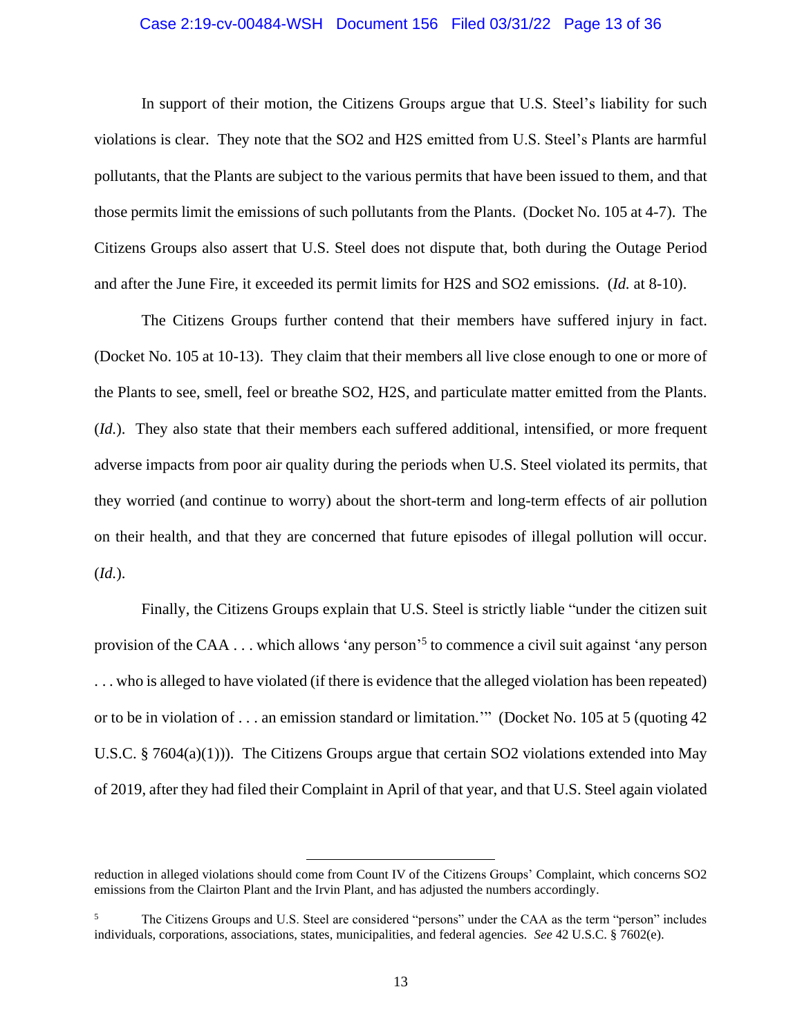### Case 2:19-cv-00484-WSH Document 156 Filed 03/31/22 Page 13 of 36

In support of their motion, the Citizens Groups argue that U.S. Steel's liability for such violations is clear. They note that the SO2 and H2S emitted from U.S. Steel's Plants are harmful pollutants, that the Plants are subject to the various permits that have been issued to them, and that those permits limit the emissions of such pollutants from the Plants. (Docket No. 105 at 4-7). The Citizens Groups also assert that U.S. Steel does not dispute that, both during the Outage Period and after the June Fire, it exceeded its permit limits for H2S and SO2 emissions. (*Id.* at 8-10).

The Citizens Groups further contend that their members have suffered injury in fact. (Docket No. 105 at 10-13). They claim that their members all live close enough to one or more of the Plants to see, smell, feel or breathe SO2, H2S, and particulate matter emitted from the Plants. (*Id.*). They also state that their members each suffered additional, intensified, or more frequent adverse impacts from poor air quality during the periods when U.S. Steel violated its permits, that they worried (and continue to worry) about the short-term and long-term effects of air pollution on their health, and that they are concerned that future episodes of illegal pollution will occur. (*Id.*).

Finally, the Citizens Groups explain that U.S. Steel is strictly liable "under the citizen suit provision of the CAA . . . which allows 'any person'<sup>5</sup> to commence a civil suit against 'any person . . . who is alleged to have violated (if there is evidence that the alleged violation has been repeated) or to be in violation of . . . an emission standard or limitation.'" (Docket No. 105 at 5 (quoting 42 U.S.C. § 7604(a)(1))). The Citizens Groups argue that certain SO2 violations extended into May of 2019, after they had filed their Complaint in April of that year, and that U.S. Steel again violated

reduction in alleged violations should come from Count IV of the Citizens Groups' Complaint, which concerns SO2 emissions from the Clairton Plant and the Irvin Plant, and has adjusted the numbers accordingly.

<sup>&</sup>lt;sup>5</sup> The Citizens Groups and U.S. Steel are considered "persons" under the CAA as the term "person" includes individuals, corporations, associations, states, municipalities, and federal agencies. *See* 42 U.S.C. § 7602(e).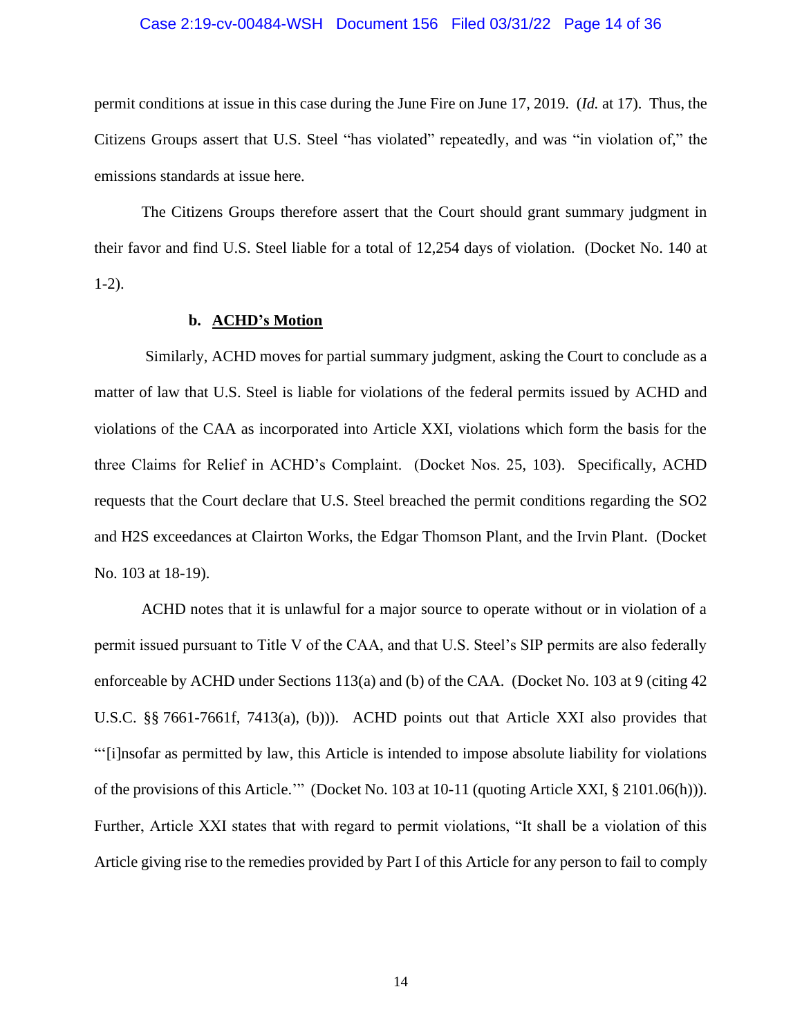#### Case 2:19-cv-00484-WSH Document 156 Filed 03/31/22 Page 14 of 36

permit conditions at issue in this case during the June Fire on June 17, 2019. (*Id.* at 17). Thus, the Citizens Groups assert that U.S. Steel "has violated" repeatedly, and was "in violation of," the emissions standards at issue here.

The Citizens Groups therefore assert that the Court should grant summary judgment in their favor and find U.S. Steel liable for a total of 12,254 days of violation. (Docket No. 140 at 1-2).

## **b. ACHD's Motion**

Similarly, ACHD moves for partial summary judgment, asking the Court to conclude as a matter of law that U.S. Steel is liable for violations of the federal permits issued by ACHD and violations of the CAA as incorporated into Article XXI, violations which form the basis for the three Claims for Relief in ACHD's Complaint. (Docket Nos. 25, 103). Specifically, ACHD requests that the Court declare that U.S. Steel breached the permit conditions regarding the SO2 and H2S exceedances at Clairton Works, the Edgar Thomson Plant, and the Irvin Plant. (Docket No. 103 at 18-19).

ACHD notes that it is unlawful for a major source to operate without or in violation of a permit issued pursuant to Title V of the CAA, and that U.S. Steel's SIP permits are also federally enforceable by ACHD under Sections 113(a) and (b) of the CAA. (Docket No. 103 at 9 (citing 42 U.S.C. §§ 7661-7661f, 7413(a), (b))). ACHD points out that Article XXI also provides that "'[i]nsofar as permitted by law, this Article is intended to impose absolute liability for violations of the provisions of this Article.'" (Docket No. 103 at 10-11 (quoting Article XXI, § 2101.06(h))). Further, Article XXI states that with regard to permit violations, "It shall be a violation of this Article giving rise to the remedies provided by Part I of this Article for any person to fail to comply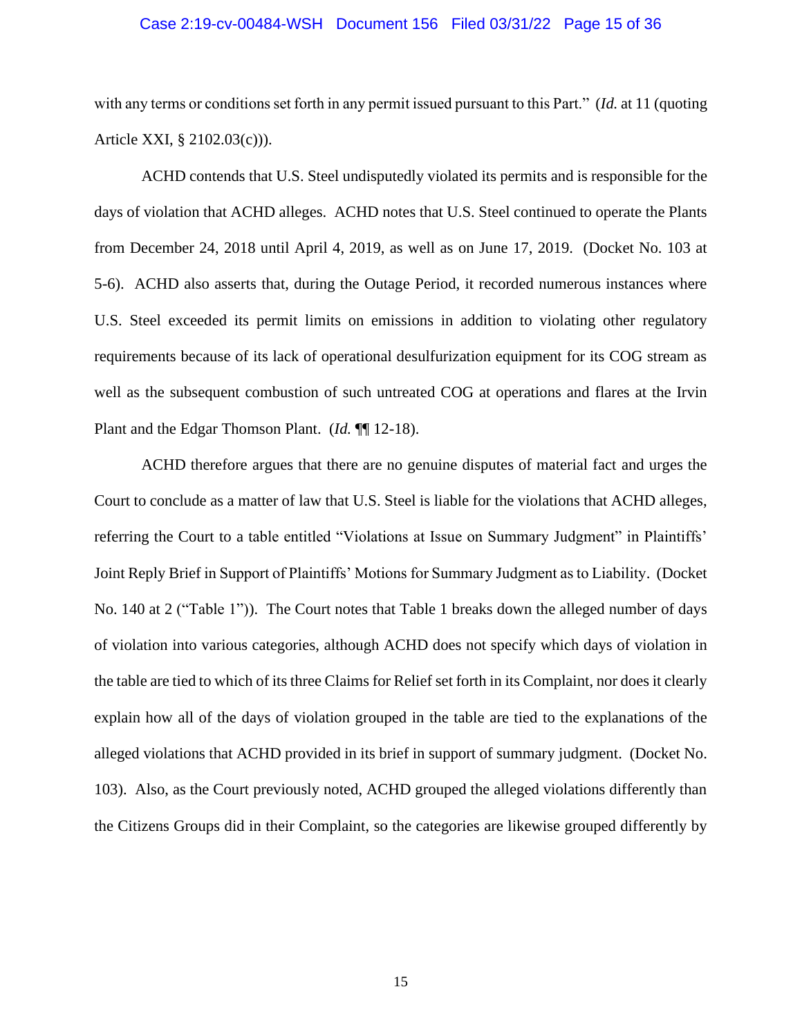#### Case 2:19-cv-00484-WSH Document 156 Filed 03/31/22 Page 15 of 36

with any terms or conditions set forth in any permit issued pursuant to this Part." (*Id.* at 11 (quoting Article XXI, § 2102.03(c))).

ACHD contends that U.S. Steel undisputedly violated its permits and is responsible for the days of violation that ACHD alleges. ACHD notes that U.S. Steel continued to operate the Plants from December 24, 2018 until April 4, 2019, as well as on June 17, 2019. (Docket No. 103 at 5-6). ACHD also asserts that, during the Outage Period, it recorded numerous instances where U.S. Steel exceeded its permit limits on emissions in addition to violating other regulatory requirements because of its lack of operational desulfurization equipment for its COG stream as well as the subsequent combustion of such untreated COG at operations and flares at the Irvin Plant and the Edgar Thomson Plant. (*Id.* ¶¶ 12-18).

ACHD therefore argues that there are no genuine disputes of material fact and urges the Court to conclude as a matter of law that U.S. Steel is liable for the violations that ACHD alleges, referring the Court to a table entitled "Violations at Issue on Summary Judgment" in Plaintiffs' Joint Reply Brief in Support of Plaintiffs' Motions for Summary Judgment as to Liability. (Docket No. 140 at 2 ("Table 1")). The Court notes that Table 1 breaks down the alleged number of days of violation into various categories, although ACHD does not specify which days of violation in the table are tied to which of its three Claims for Relief set forth in its Complaint, nor does it clearly explain how all of the days of violation grouped in the table are tied to the explanations of the alleged violations that ACHD provided in its brief in support of summary judgment. (Docket No. 103). Also, as the Court previously noted, ACHD grouped the alleged violations differently than the Citizens Groups did in their Complaint, so the categories are likewise grouped differently by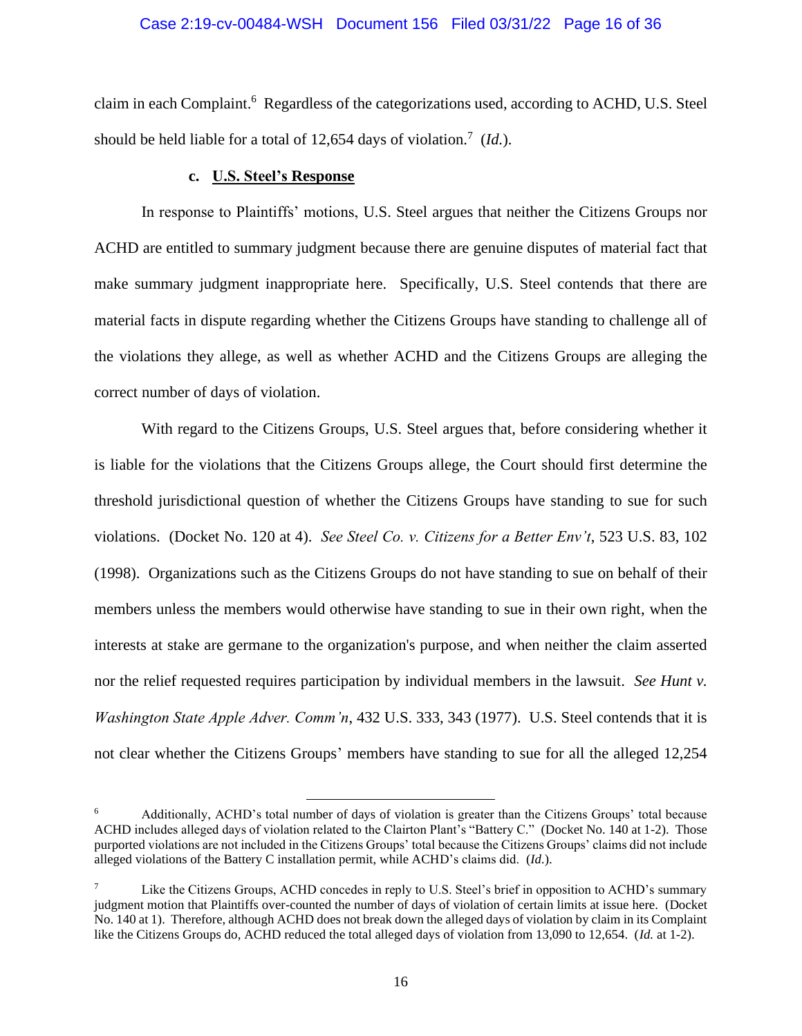### Case 2:19-cv-00484-WSH Document 156 Filed 03/31/22 Page 16 of 36

claim in each Complaint.<sup>6</sup> Regardless of the categorizations used, according to ACHD, U.S. Steel should be held liable for a total of 12,654 days of violation.<sup>7</sup> (*Id.*).

## **c. U.S. Steel's Response**

In response to Plaintiffs' motions, U.S. Steel argues that neither the Citizens Groups nor ACHD are entitled to summary judgment because there are genuine disputes of material fact that make summary judgment inappropriate here. Specifically, U.S. Steel contends that there are material facts in dispute regarding whether the Citizens Groups have standing to challenge all of the violations they allege, as well as whether ACHD and the Citizens Groups are alleging the correct number of days of violation.

With regard to the Citizens Groups, U.S. Steel argues that, before considering whether it is liable for the violations that the Citizens Groups allege, the Court should first determine the threshold jurisdictional question of whether the Citizens Groups have standing to sue for such violations. (Docket No. 120 at 4). *See Steel Co. v. Citizens for a Better Env't*, 523 U.S. 83, 102 (1998). Organizations such as the Citizens Groups do not have standing to sue on behalf of their members unless the members would otherwise have standing to sue in their own right, when the interests at stake are germane to the organization's purpose, and when neither the claim asserted nor the relief requested requires participation by individual members in the lawsuit. *See Hunt v. Washington State Apple Adver. Comm'n*, 432 U.S. 333, 343 (1977). U.S. Steel contends that it is not clear whether the Citizens Groups' members have standing to sue for all the alleged 12,254

<sup>&</sup>lt;sup>6</sup> Additionally, ACHD's total number of days of violation is greater than the Citizens Groups' total because ACHD includes alleged days of violation related to the Clairton Plant's "Battery C." (Docket No. 140 at 1-2). Those purported violations are not included in the Citizens Groups' total because the Citizens Groups' claims did not include alleged violations of the Battery C installation permit, while ACHD's claims did. (*Id.*).

Like the Citizens Groups, ACHD concedes in reply to U.S. Steel's brief in opposition to ACHD's summary judgment motion that Plaintiffs over-counted the number of days of violation of certain limits at issue here. (Docket No. 140 at 1). Therefore, although ACHD does not break down the alleged days of violation by claim in its Complaint like the Citizens Groups do, ACHD reduced the total alleged days of violation from 13,090 to 12,654. (*Id.* at 1-2).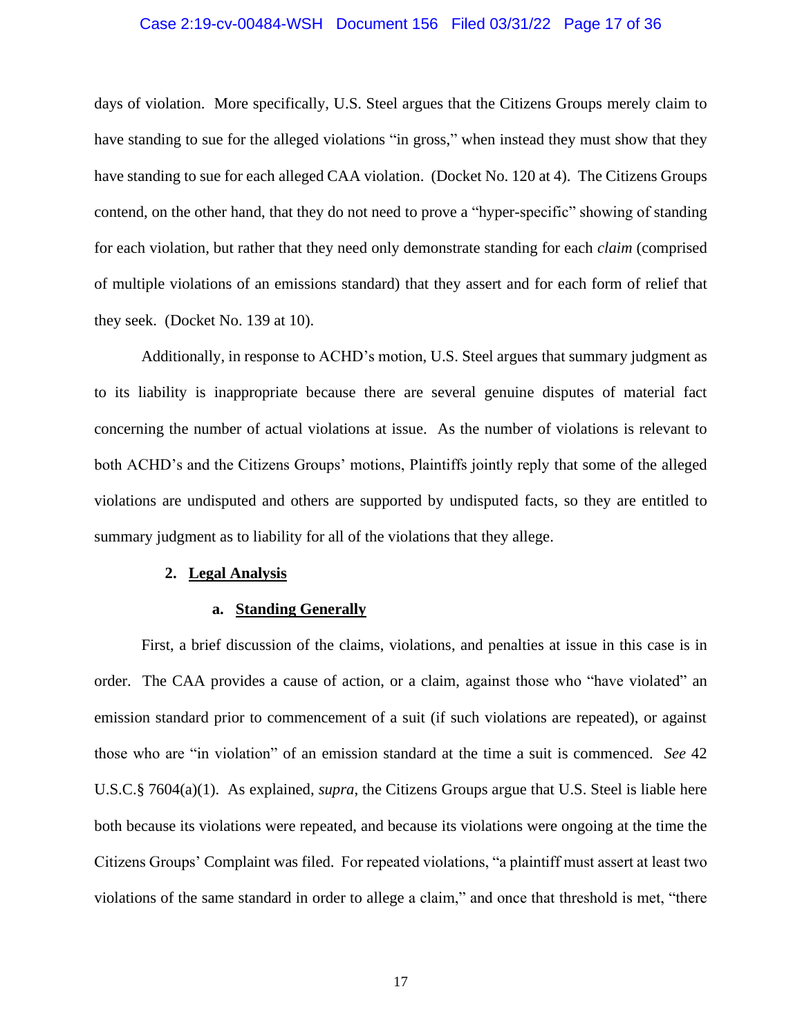#### Case 2:19-cv-00484-WSH Document 156 Filed 03/31/22 Page 17 of 36

days of violation. More specifically, U.S. Steel argues that the Citizens Groups merely claim to have standing to sue for the alleged violations "in gross," when instead they must show that they have standing to sue for each alleged CAA violation. (Docket No. 120 at 4). The Citizens Groups contend, on the other hand, that they do not need to prove a "hyper-specific" showing of standing for each violation, but rather that they need only demonstrate standing for each *claim* (comprised of multiple violations of an emissions standard) that they assert and for each form of relief that they seek. (Docket No. 139 at 10).

Additionally, in response to ACHD's motion, U.S. Steel argues that summary judgment as to its liability is inappropriate because there are several genuine disputes of material fact concerning the number of actual violations at issue. As the number of violations is relevant to both ACHD's and the Citizens Groups' motions, Plaintiffs jointly reply that some of the alleged violations are undisputed and others are supported by undisputed facts, so they are entitled to summary judgment as to liability for all of the violations that they allege.

#### **2. Legal Analysis**

#### **a. Standing Generally**

First, a brief discussion of the claims, violations, and penalties at issue in this case is in order. The CAA provides a cause of action, or a claim, against those who "have violated" an emission standard prior to commencement of a suit (if such violations are repeated), or against those who are "in violation" of an emission standard at the time a suit is commenced. *See* 42 U.S.C.§ 7604(a)(1). As explained, *supra*, the Citizens Groups argue that U.S. Steel is liable here both because its violations were repeated, and because its violations were ongoing at the time the Citizens Groups' Complaint was filed. For repeated violations, "a plaintiff must assert at least two violations of the same standard in order to allege a claim," and once that threshold is met, "there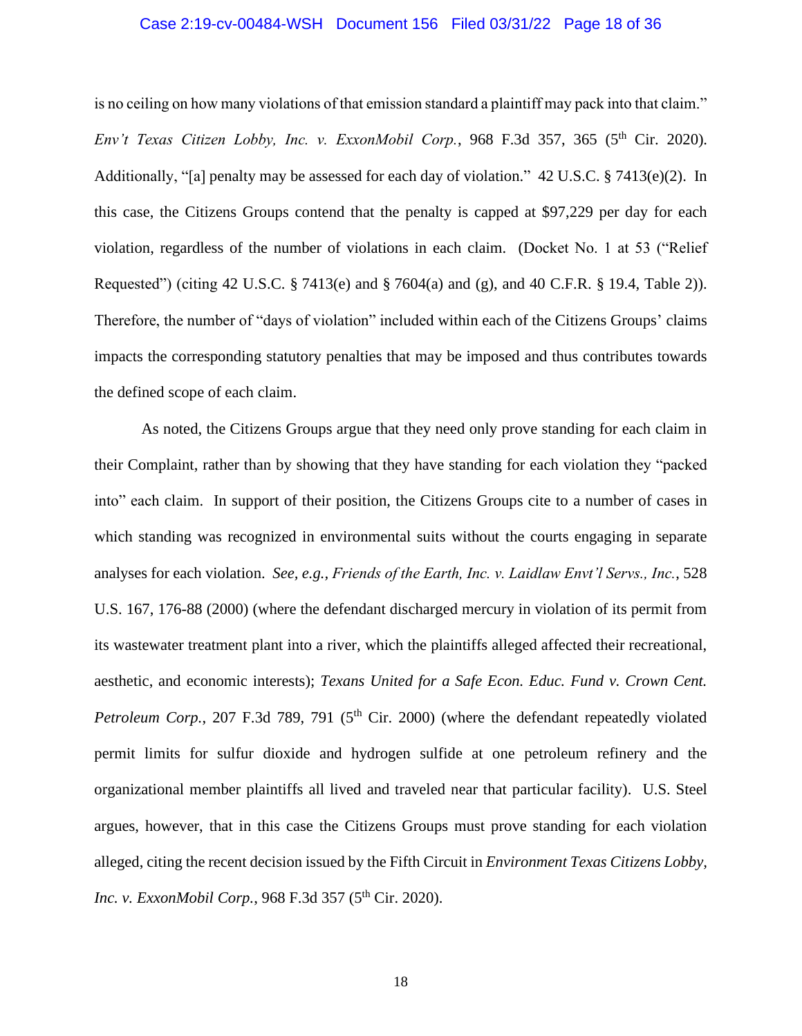#### Case 2:19-cv-00484-WSH Document 156 Filed 03/31/22 Page 18 of 36

is no ceiling on how many violations of that emission standard a plaintiff may pack into that claim." *Env't Texas Citizen Lobby, Inc. v. ExxonMobil Corp.*, 968 F.3d 357, 365 (5<sup>th</sup> Cir. 2020). Additionally, "[a] penalty may be assessed for each day of violation." 42 U.S.C. § 7413(e)(2). In this case, the Citizens Groups contend that the penalty is capped at \$97,229 per day for each violation, regardless of the number of violations in each claim. (Docket No. 1 at 53 ("Relief Requested") (citing 42 U.S.C. § 7413(e) and § 7604(a) and (g), and 40 C.F.R. § 19.4, Table 2)). Therefore, the number of "days of violation" included within each of the Citizens Groups' claims impacts the corresponding statutory penalties that may be imposed and thus contributes towards the defined scope of each claim.

As noted, the Citizens Groups argue that they need only prove standing for each claim in their Complaint, rather than by showing that they have standing for each violation they "packed into" each claim. In support of their position, the Citizens Groups cite to a number of cases in which standing was recognized in environmental suits without the courts engaging in separate analyses for each violation. *See, e.g., Friends of the Earth, Inc. v. Laidlaw Envt'l Servs., Inc.*, 528 U.S. 167, 176-88 (2000) (where the defendant discharged mercury in violation of its permit from its wastewater treatment plant into a river, which the plaintiffs alleged affected their recreational, aesthetic, and economic interests); *Texans United for a Safe Econ. Educ. Fund v. Crown Cent. Petroleum Corp.*, 207 F.3d 789, 791 (5<sup>th</sup> Cir. 2000) (where the defendant repeatedly violated permit limits for sulfur dioxide and hydrogen sulfide at one petroleum refinery and the organizational member plaintiffs all lived and traveled near that particular facility). U.S. Steel argues, however, that in this case the Citizens Groups must prove standing for each violation alleged, citing the recent decision issued by the Fifth Circuit in *Environment Texas Citizens Lobby, Inc. v. ExxonMobil Corp.*, 968 F.3d 357 (5<sup>th</sup> Cir. 2020).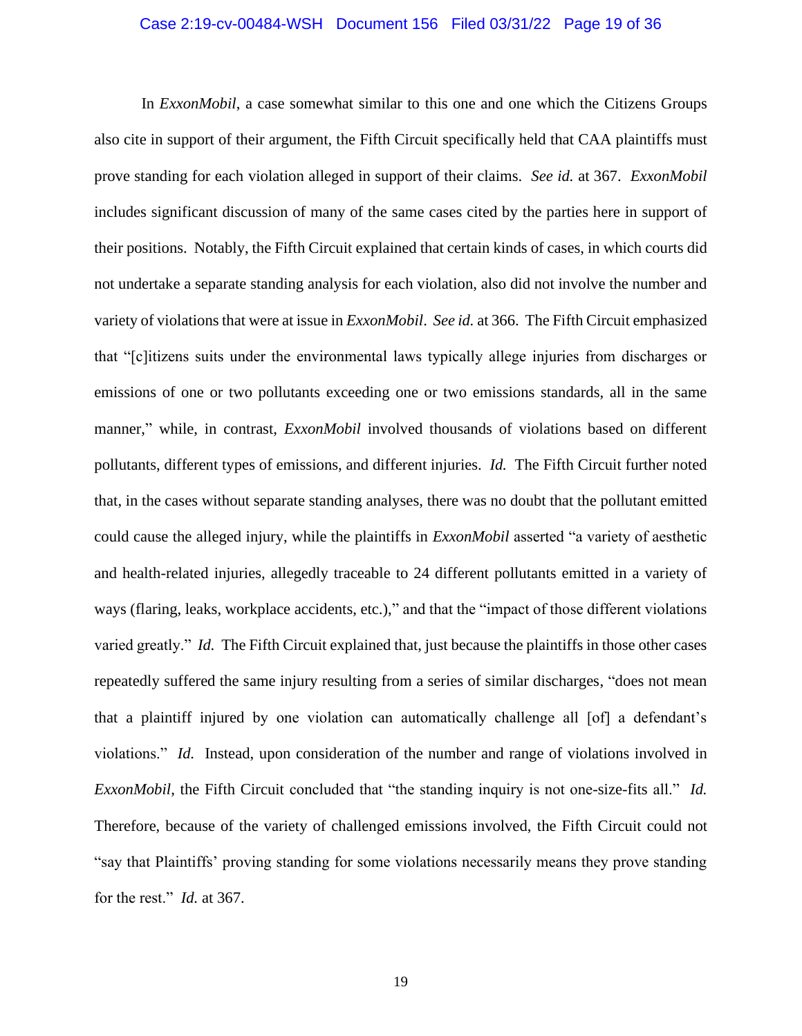#### Case 2:19-cv-00484-WSH Document 156 Filed 03/31/22 Page 19 of 36

In *ExxonMobil*, a case somewhat similar to this one and one which the Citizens Groups also cite in support of their argument, the Fifth Circuit specifically held that CAA plaintiffs must prove standing for each violation alleged in support of their claims. *See id.* at 367. *ExxonMobil* includes significant discussion of many of the same cases cited by the parties here in support of their positions. Notably, the Fifth Circuit explained that certain kinds of cases, in which courts did not undertake a separate standing analysis for each violation, also did not involve the number and variety of violations that were at issue in *ExxonMobil*. *See id.* at 366. The Fifth Circuit emphasized that "[c]itizens suits under the environmental laws typically allege injuries from discharges or emissions of one or two pollutants exceeding one or two emissions standards, all in the same manner," while, in contrast, *ExxonMobil* involved thousands of violations based on different pollutants, different types of emissions, and different injuries. *Id.* The Fifth Circuit further noted that, in the cases without separate standing analyses, there was no doubt that the pollutant emitted could cause the alleged injury, while the plaintiffs in *ExxonMobil* asserted "a variety of aesthetic and health-related injuries, allegedly traceable to 24 different pollutants emitted in a variety of ways (flaring, leaks, workplace accidents, etc.)," and that the "impact of those different violations varied greatly." *Id.* The Fifth Circuit explained that, just because the plaintiffs in those other cases repeatedly suffered the same injury resulting from a series of similar discharges, "does not mean that a plaintiff injured by one violation can automatically challenge all [of] a defendant's violations." *Id.* Instead, upon consideration of the number and range of violations involved in *ExxonMobil*, the Fifth Circuit concluded that "the standing inquiry is not one-size-fits all." *Id.*  Therefore, because of the variety of challenged emissions involved, the Fifth Circuit could not "say that Plaintiffs' proving standing for some violations necessarily means they prove standing for the rest." *Id.* at 367.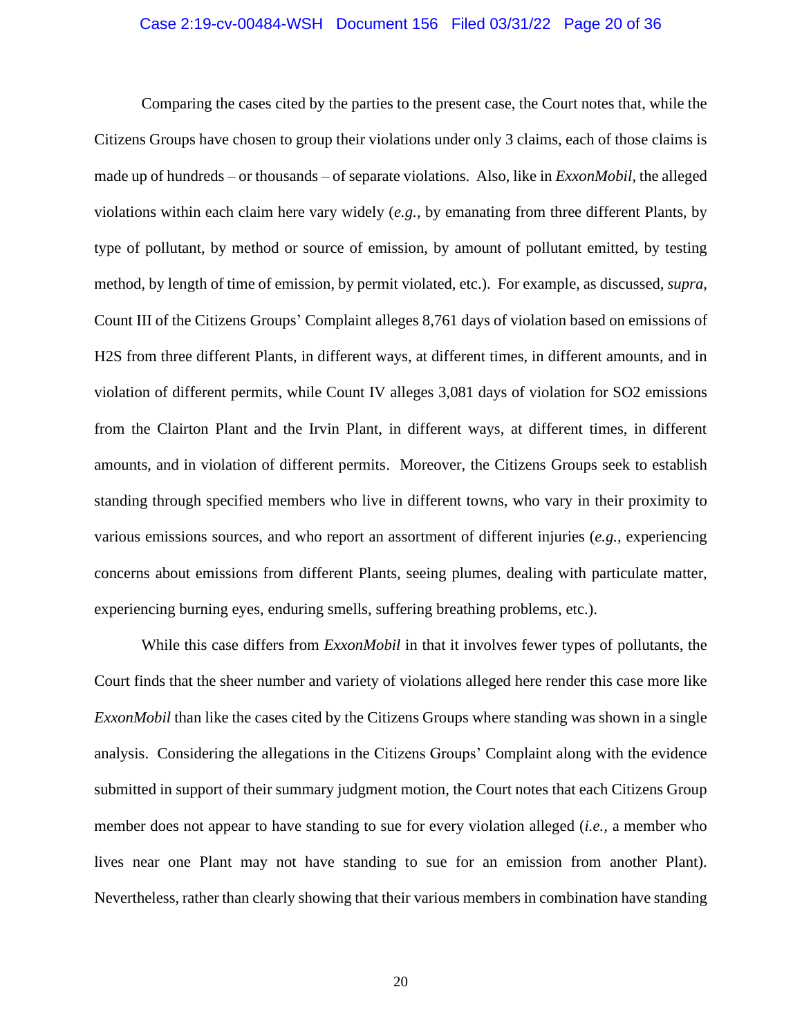#### Case 2:19-cv-00484-WSH Document 156 Filed 03/31/22 Page 20 of 36

Comparing the cases cited by the parties to the present case, the Court notes that, while the Citizens Groups have chosen to group their violations under only 3 claims, each of those claims is made up of hundreds – or thousands – of separate violations. Also, like in *ExxonMobil*, the alleged violations within each claim here vary widely (*e.g.,* by emanating from three different Plants, by type of pollutant, by method or source of emission, by amount of pollutant emitted, by testing method, by length of time of emission, by permit violated, etc.). For example, as discussed, *supra*, Count III of the Citizens Groups' Complaint alleges 8,761 days of violation based on emissions of H2S from three different Plants, in different ways, at different times, in different amounts, and in violation of different permits, while Count IV alleges 3,081 days of violation for SO2 emissions from the Clairton Plant and the Irvin Plant, in different ways, at different times, in different amounts, and in violation of different permits. Moreover, the Citizens Groups seek to establish standing through specified members who live in different towns, who vary in their proximity to various emissions sources, and who report an assortment of different injuries (*e.g.,* experiencing concerns about emissions from different Plants, seeing plumes, dealing with particulate matter, experiencing burning eyes, enduring smells, suffering breathing problems, etc.).

While this case differs from *ExxonMobil* in that it involves fewer types of pollutants, the Court finds that the sheer number and variety of violations alleged here render this case more like *ExxonMobil* than like the cases cited by the Citizens Groups where standing was shown in a single analysis. Considering the allegations in the Citizens Groups' Complaint along with the evidence submitted in support of their summary judgment motion, the Court notes that each Citizens Group member does not appear to have standing to sue for every violation alleged (*i.e.,* a member who lives near one Plant may not have standing to sue for an emission from another Plant). Nevertheless, rather than clearly showing that their various members in combination have standing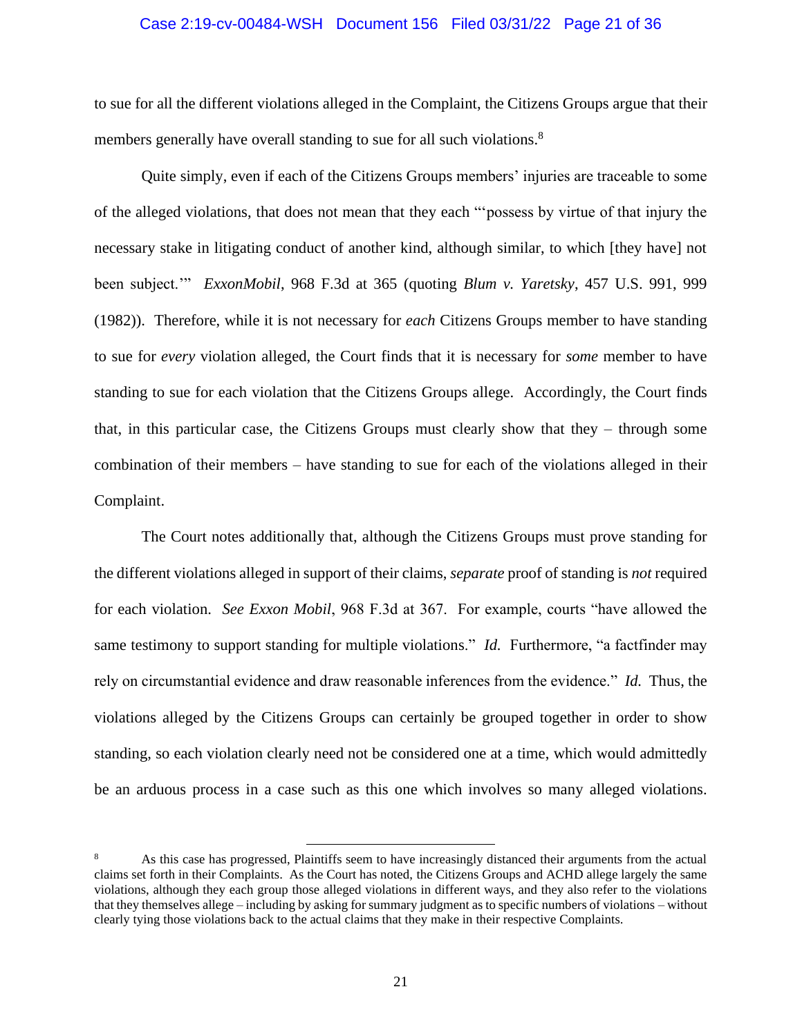#### Case 2:19-cv-00484-WSH Document 156 Filed 03/31/22 Page 21 of 36

to sue for all the different violations alleged in the Complaint, the Citizens Groups argue that their members generally have overall standing to sue for all such violations.<sup>8</sup>

Quite simply, even if each of the Citizens Groups members' injuries are traceable to some of the alleged violations, that does not mean that they each "'possess by virtue of that injury the necessary stake in litigating conduct of another kind, although similar, to which [they have] not been subject.'" *ExxonMobil*, 968 F.3d at 365 (quoting *Blum v. Yaretsky*, 457 U.S. 991, 999 (1982)). Therefore, while it is not necessary for *each* Citizens Groups member to have standing to sue for *every* violation alleged, the Court finds that it is necessary for *some* member to have standing to sue for each violation that the Citizens Groups allege. Accordingly, the Court finds that, in this particular case, the Citizens Groups must clearly show that they – through some combination of their members – have standing to sue for each of the violations alleged in their Complaint.

The Court notes additionally that, although the Citizens Groups must prove standing for the different violations alleged in support of their claims, *separate* proof of standing is *not* required for each violation. *See Exxon Mobil*, 968 F.3d at 367. For example, courts "have allowed the same testimony to support standing for multiple violations." *Id.* Furthermore, "a factfinder may rely on circumstantial evidence and draw reasonable inferences from the evidence." *Id.* Thus, the violations alleged by the Citizens Groups can certainly be grouped together in order to show standing, so each violation clearly need not be considered one at a time, which would admittedly be an arduous process in a case such as this one which involves so many alleged violations.

<sup>8</sup> As this case has progressed, Plaintiffs seem to have increasingly distanced their arguments from the actual claims set forth in their Complaints. As the Court has noted, the Citizens Groups and ACHD allege largely the same violations, although they each group those alleged violations in different ways, and they also refer to the violations that they themselves allege – including by asking for summary judgment as to specific numbers of violations – without clearly tying those violations back to the actual claims that they make in their respective Complaints.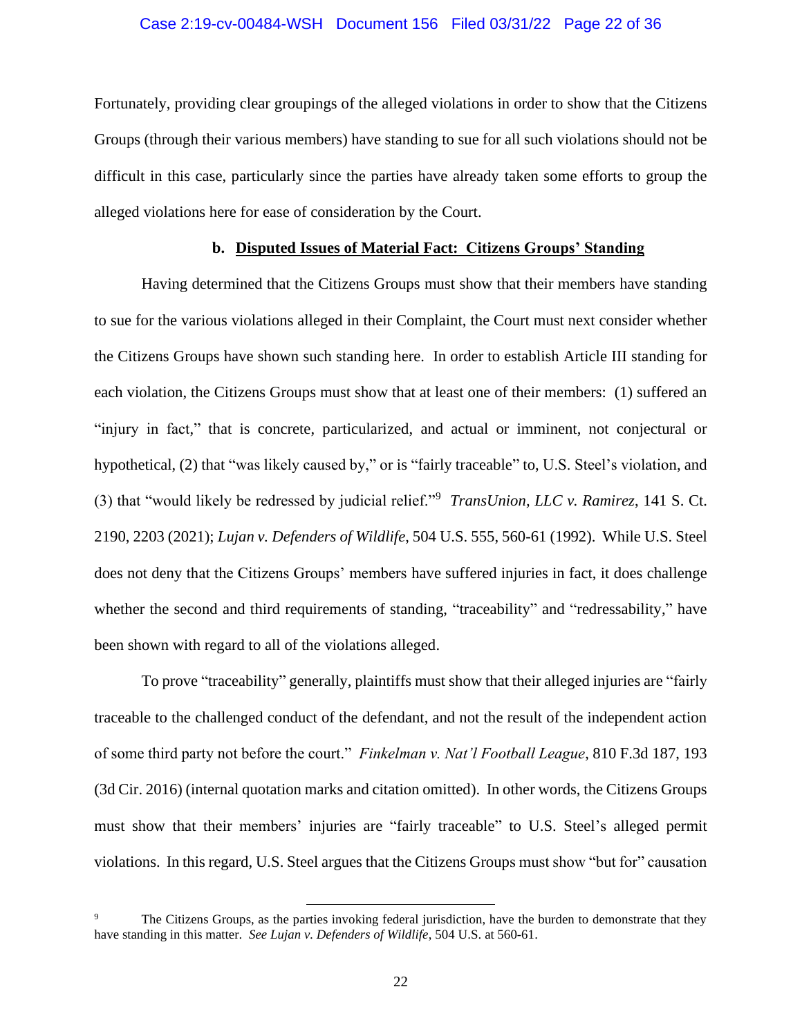#### Case 2:19-cv-00484-WSH Document 156 Filed 03/31/22 Page 22 of 36

Fortunately, providing clear groupings of the alleged violations in order to show that the Citizens Groups (through their various members) have standing to sue for all such violations should not be difficult in this case, particularly since the parties have already taken some efforts to group the alleged violations here for ease of consideration by the Court.

#### **b. Disputed Issues of Material Fact: Citizens Groups' Standing**

Having determined that the Citizens Groups must show that their members have standing to sue for the various violations alleged in their Complaint, the Court must next consider whether the Citizens Groups have shown such standing here. In order to establish Article III standing for each violation, the Citizens Groups must show that at least one of their members: (1) suffered an "injury in fact," that is concrete, particularized, and actual or imminent, not conjectural or hypothetical, (2) that "was likely caused by," or is "fairly traceable" to, U.S. Steel's violation, and (3) that "would likely be redressed by judicial relief."<sup>9</sup> *TransUnion, LLC v. Ramirez*, 141 S. Ct. 2190, 2203 (2021); *Lujan v. Defenders of Wildlife*, 504 U.S. 555, 560-61 (1992). While U.S. Steel does not deny that the Citizens Groups' members have suffered injuries in fact, it does challenge whether the second and third requirements of standing, "traceability" and "redressability," have been shown with regard to all of the violations alleged.

To prove "traceability" generally, plaintiffs must show that their alleged injuries are "fairly traceable to the challenged conduct of the defendant, and not the result of the independent action of some third party not before the court." *Finkelman v. Nat'l Football League*, 810 F.3d 187, 193 (3d Cir. 2016) (internal quotation marks and citation omitted). In other words, the Citizens Groups must show that their members' injuries are "fairly traceable" to U.S. Steel's alleged permit violations. In this regard, U.S. Steel argues that the Citizens Groups must show "but for" causation

The Citizens Groups, as the parties invoking federal jurisdiction, have the burden to demonstrate that they have standing in this matter. *See Lujan v. Defenders of Wildlife*, 504 U.S. at 560-61.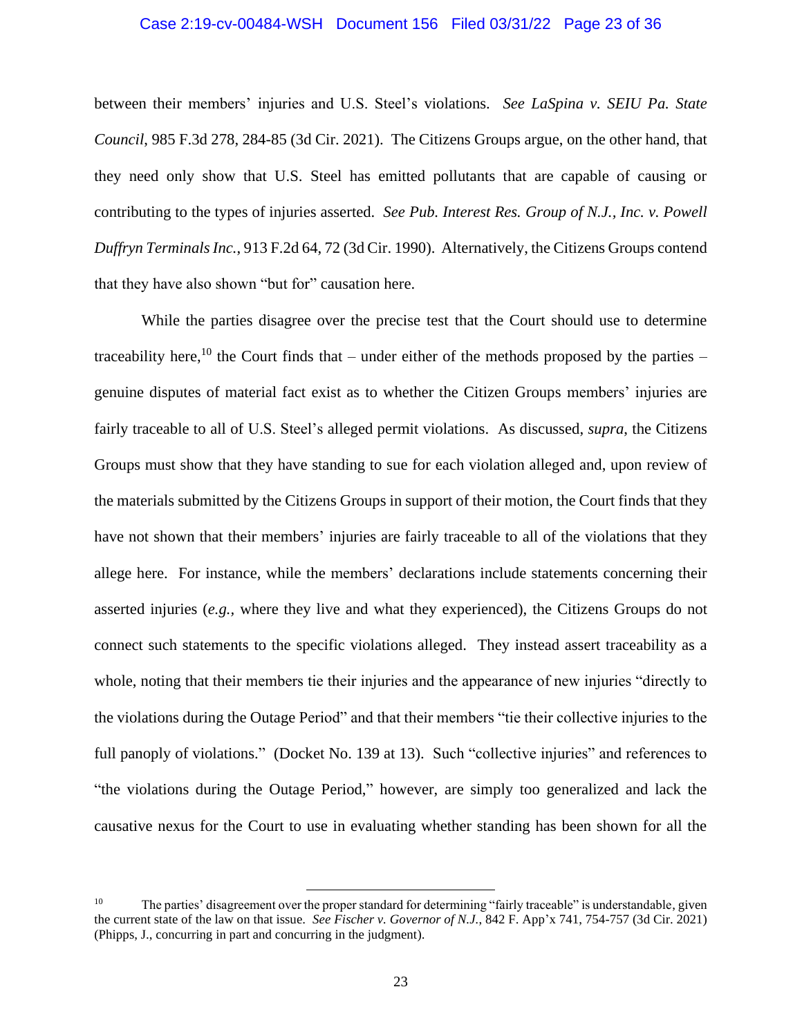#### Case 2:19-cv-00484-WSH Document 156 Filed 03/31/22 Page 23 of 36

between their members' injuries and U.S. Steel's violations. *See LaSpina v. SEIU Pa. State Council*, 985 F.3d 278, 284-85 (3d Cir. 2021). The Citizens Groups argue, on the other hand, that they need only show that U.S. Steel has emitted pollutants that are capable of causing or contributing to the types of injuries asserted. *See Pub. Interest Res. Group of N.J., Inc. v. Powell Duffryn Terminals Inc.*, 913 F.2d 64, 72 (3d Cir. 1990). Alternatively, the Citizens Groups contend that they have also shown "but for" causation here.

While the parties disagree over the precise test that the Court should use to determine traceability here,<sup>10</sup> the Court finds that – under either of the methods proposed by the parties – genuine disputes of material fact exist as to whether the Citizen Groups members' injuries are fairly traceable to all of U.S. Steel's alleged permit violations. As discussed, *supra*, the Citizens Groups must show that they have standing to sue for each violation alleged and, upon review of the materials submitted by the Citizens Groups in support of their motion, the Court finds that they have not shown that their members' injuries are fairly traceable to all of the violations that they allege here. For instance, while the members' declarations include statements concerning their asserted injuries (*e.g.,* where they live and what they experienced), the Citizens Groups do not connect such statements to the specific violations alleged. They instead assert traceability as a whole, noting that their members tie their injuries and the appearance of new injuries "directly to the violations during the Outage Period" and that their members "tie their collective injuries to the full panoply of violations." (Docket No. 139 at 13). Such "collective injuries" and references to "the violations during the Outage Period," however, are simply too generalized and lack the causative nexus for the Court to use in evaluating whether standing has been shown for all the

<sup>&</sup>lt;sup>10</sup> The parties' disagreement over the proper standard for determining "fairly traceable" is understandable, given the current state of the law on that issue. *See Fischer v. Governor of N.J.*, 842 F. App'x 741, 754-757 (3d Cir. 2021) (Phipps, J., concurring in part and concurring in the judgment).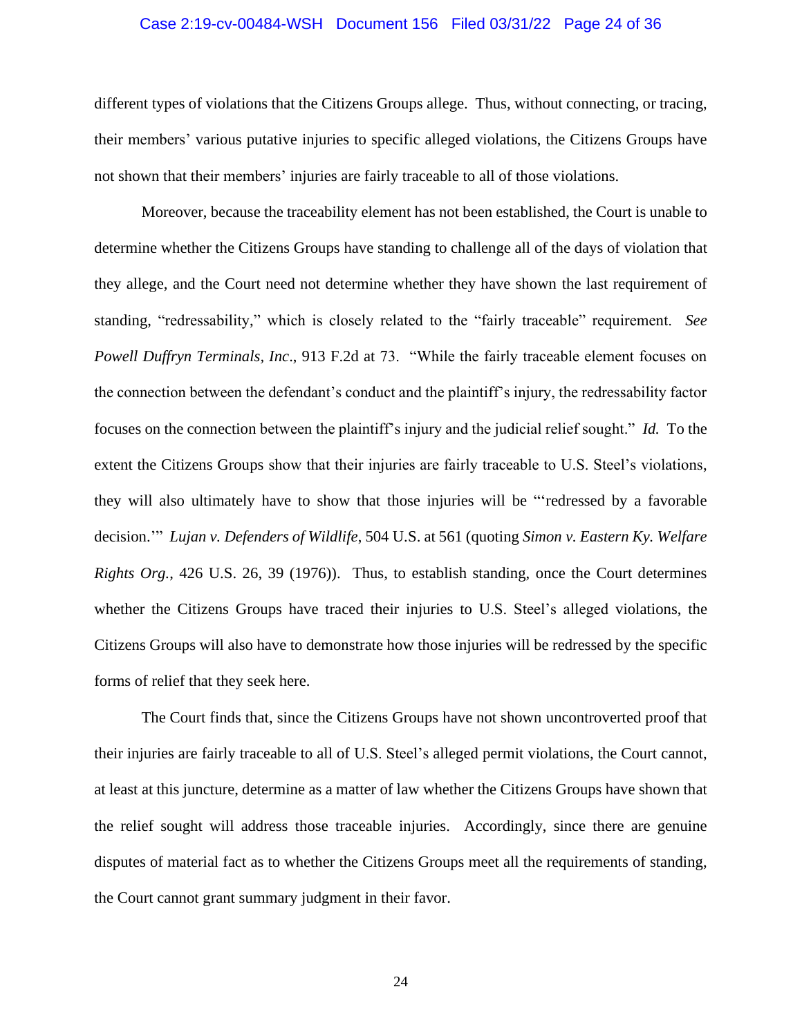#### Case 2:19-cv-00484-WSH Document 156 Filed 03/31/22 Page 24 of 36

different types of violations that the Citizens Groups allege. Thus, without connecting, or tracing, their members' various putative injuries to specific alleged violations, the Citizens Groups have not shown that their members' injuries are fairly traceable to all of those violations.

Moreover, because the traceability element has not been established, the Court is unable to determine whether the Citizens Groups have standing to challenge all of the days of violation that they allege, and the Court need not determine whether they have shown the last requirement of standing, "redressability," which is closely related to the "fairly traceable" requirement. *See Powell Duffryn Terminals, Inc*., 913 F.2d at 73. "While the fairly traceable element focuses on the connection between the defendant's conduct and the plaintiff's injury, the redressability factor focuses on the connection between the plaintiff's injury and the judicial relief sought." *Id.* To the extent the Citizens Groups show that their injuries are fairly traceable to U.S. Steel's violations, they will also ultimately have to show that those injuries will be "'redressed by a favorable decision.'" *Lujan v. Defenders of Wildlife*, 504 U.S. at 561 (quoting *Simon v. Eastern Ky. Welfare Rights Org.*, 426 U.S. 26, 39 (1976)). Thus, to establish standing, once the Court determines whether the Citizens Groups have traced their injuries to U.S. Steel's alleged violations, the Citizens Groups will also have to demonstrate how those injuries will be redressed by the specific forms of relief that they seek here.

The Court finds that, since the Citizens Groups have not shown uncontroverted proof that their injuries are fairly traceable to all of U.S. Steel's alleged permit violations, the Court cannot, at least at this juncture, determine as a matter of law whether the Citizens Groups have shown that the relief sought will address those traceable injuries. Accordingly, since there are genuine disputes of material fact as to whether the Citizens Groups meet all the requirements of standing, the Court cannot grant summary judgment in their favor.

24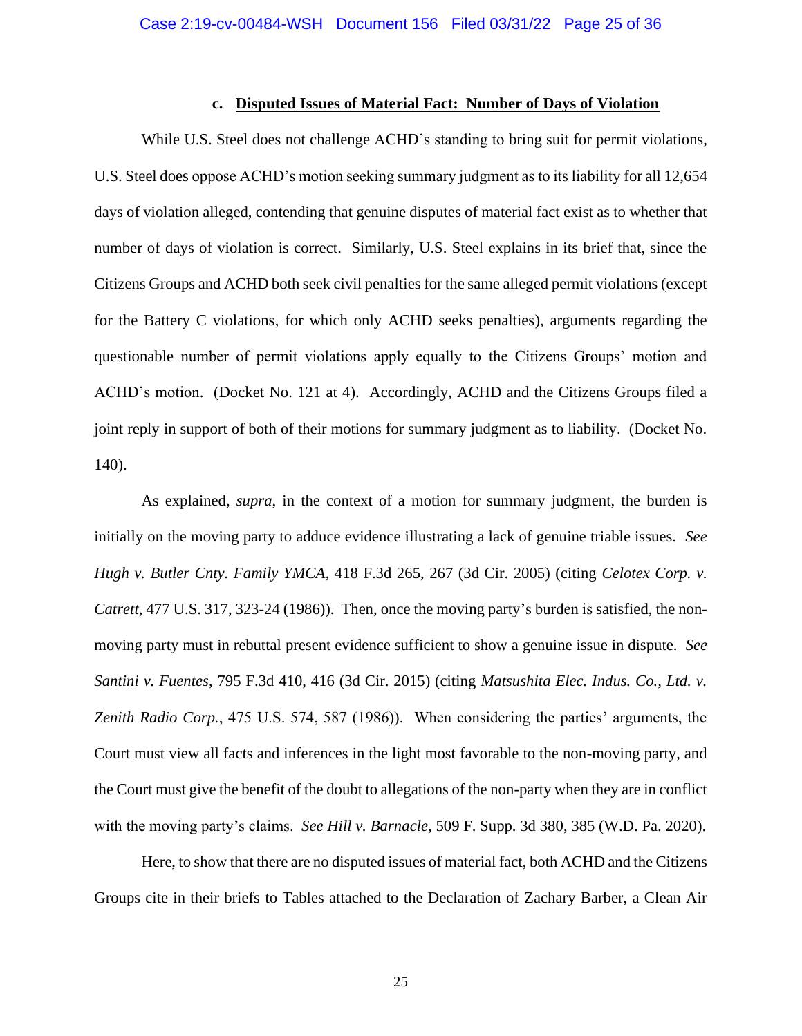#### **c. Disputed Issues of Material Fact: Number of Days of Violation**

While U.S. Steel does not challenge ACHD's standing to bring suit for permit violations, U.S. Steel does oppose ACHD's motion seeking summary judgment as to its liability for all 12,654 days of violation alleged, contending that genuine disputes of material fact exist as to whether that number of days of violation is correct. Similarly, U.S. Steel explains in its brief that, since the Citizens Groups and ACHD both seek civil penalties for the same alleged permit violations (except for the Battery C violations, for which only ACHD seeks penalties), arguments regarding the questionable number of permit violations apply equally to the Citizens Groups' motion and ACHD's motion. (Docket No. 121 at 4). Accordingly, ACHD and the Citizens Groups filed a joint reply in support of both of their motions for summary judgment as to liability. (Docket No. 140).

As explained, *supra*, in the context of a motion for summary judgment, the burden is initially on the moving party to adduce evidence illustrating a lack of genuine triable issues. *See Hugh v. Butler Cnty. Family YMCA*, 418 F.3d 265, 267 (3d Cir. 2005) (citing *Celotex Corp. v. Catrett*, 477 U.S. 317, 323-24 (1986)). Then, once the moving party's burden is satisfied, the nonmoving party must in rebuttal present evidence sufficient to show a genuine issue in dispute. *See Santini v. Fuentes*, 795 F.3d 410, 416 (3d Cir. 2015) (citing *Matsushita Elec. Indus. Co., Ltd. v. Zenith Radio Corp.*, 475 U.S. 574, 587 (1986)). When considering the parties' arguments, the Court must view all facts and inferences in the light most favorable to the non-moving party, and the Court must give the benefit of the doubt to allegations of the non-party when they are in conflict with the moving party's claims. *See Hill v. Barnacle*, 509 F. Supp. 3d 380, 385 (W.D. Pa. 2020).

Here, to show that there are no disputed issues of material fact, both ACHD and the Citizens Groups cite in their briefs to Tables attached to the Declaration of Zachary Barber, a Clean Air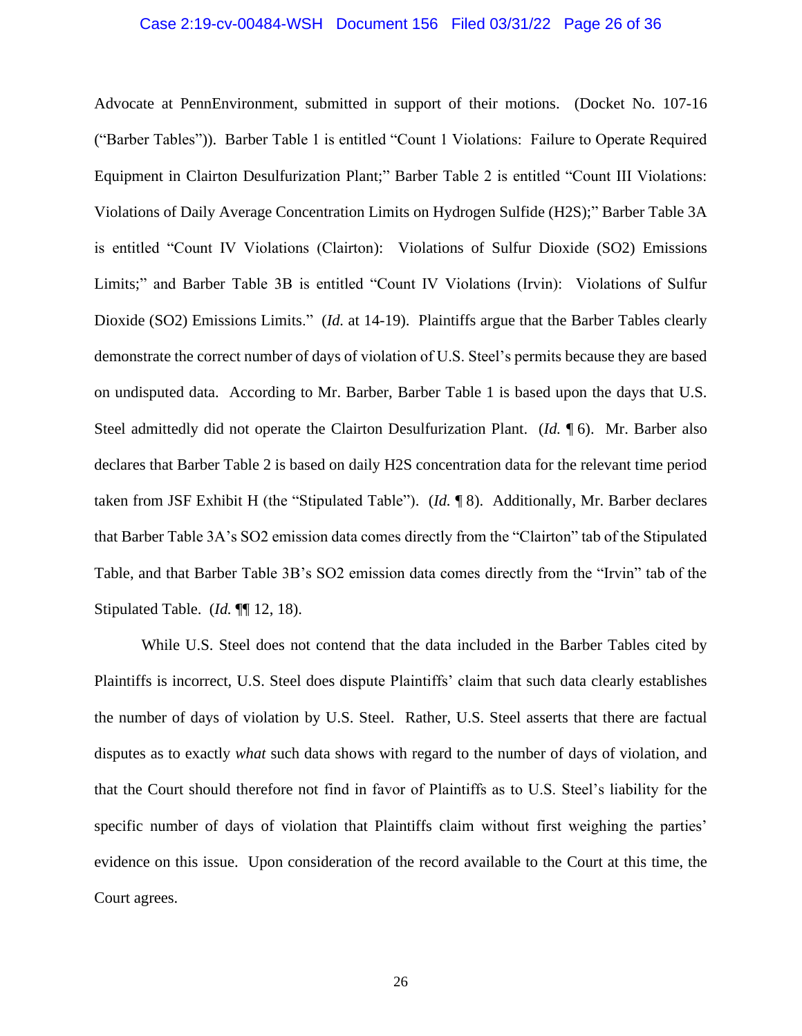#### Case 2:19-cv-00484-WSH Document 156 Filed 03/31/22 Page 26 of 36

Advocate at PennEnvironment, submitted in support of their motions. (Docket No. 107-16 ("Barber Tables")). Barber Table 1 is entitled "Count 1 Violations: Failure to Operate Required Equipment in Clairton Desulfurization Plant;" Barber Table 2 is entitled "Count III Violations: Violations of Daily Average Concentration Limits on Hydrogen Sulfide (H2S);" Barber Table 3A is entitled "Count IV Violations (Clairton): Violations of Sulfur Dioxide (SO2) Emissions Limits;" and Barber Table 3B is entitled "Count IV Violations (Irvin): Violations of Sulfur Dioxide (SO2) Emissions Limits." (*Id.* at 14-19). Plaintiffs argue that the Barber Tables clearly demonstrate the correct number of days of violation of U.S. Steel's permits because they are based on undisputed data. According to Mr. Barber, Barber Table 1 is based upon the days that U.S. Steel admittedly did not operate the Clairton Desulfurization Plant. (*Id.* ¶ 6). Mr. Barber also declares that Barber Table 2 is based on daily H2S concentration data for the relevant time period taken from JSF Exhibit H (the "Stipulated Table"). (*Id.* ¶ 8). Additionally, Mr. Barber declares that Barber Table 3A's SO2 emission data comes directly from the "Clairton" tab of the Stipulated Table, and that Barber Table 3B's SO2 emission data comes directly from the "Irvin" tab of the Stipulated Table. (*Id.* ¶¶ 12, 18).

While U.S. Steel does not contend that the data included in the Barber Tables cited by Plaintiffs is incorrect, U.S. Steel does dispute Plaintiffs' claim that such data clearly establishes the number of days of violation by U.S. Steel. Rather, U.S. Steel asserts that there are factual disputes as to exactly *what* such data shows with regard to the number of days of violation, and that the Court should therefore not find in favor of Plaintiffs as to U.S. Steel's liability for the specific number of days of violation that Plaintiffs claim without first weighing the parties' evidence on this issue. Upon consideration of the record available to the Court at this time, the Court agrees.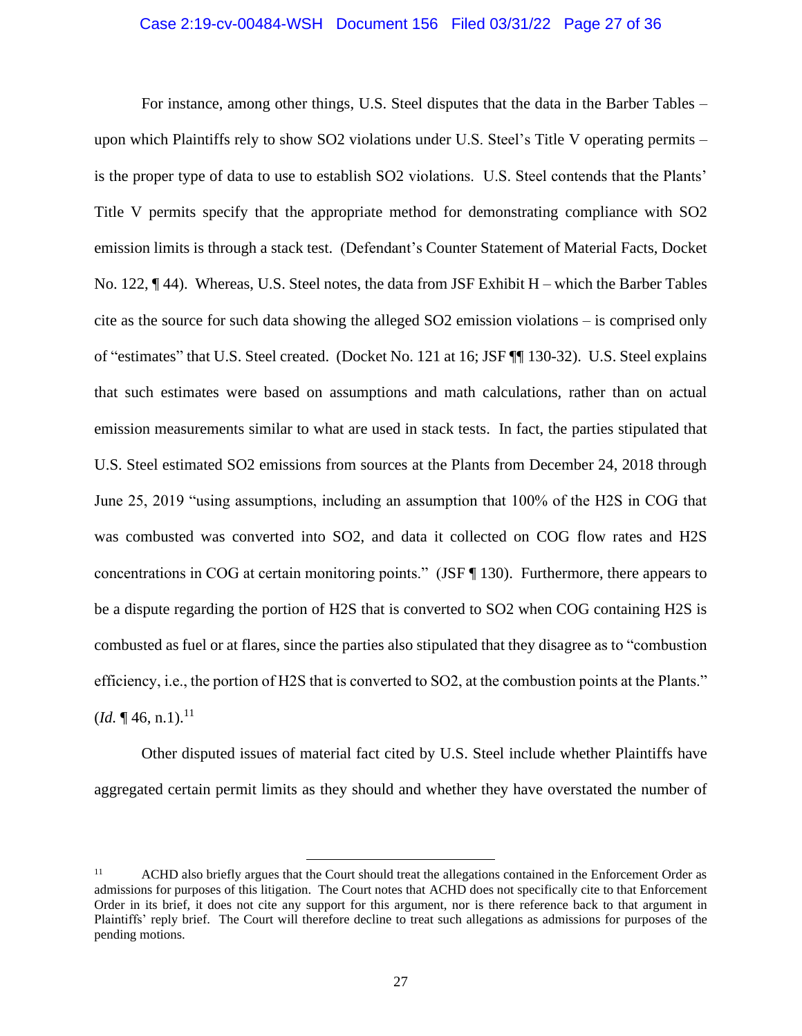#### Case 2:19-cv-00484-WSH Document 156 Filed 03/31/22 Page 27 of 36

For instance, among other things, U.S. Steel disputes that the data in the Barber Tables – upon which Plaintiffs rely to show SO2 violations under U.S. Steel's Title V operating permits – is the proper type of data to use to establish SO2 violations. U.S. Steel contends that the Plants' Title V permits specify that the appropriate method for demonstrating compliance with SO2 emission limits is through a stack test. (Defendant's Counter Statement of Material Facts, Docket No. 122,  $\P$  44). Whereas, U.S. Steel notes, the data from JSF Exhibit H – which the Barber Tables cite as the source for such data showing the alleged SO2 emission violations – is comprised only of "estimates" that U.S. Steel created. (Docket No. 121 at 16; JSF ¶¶ 130-32). U.S. Steel explains that such estimates were based on assumptions and math calculations, rather than on actual emission measurements similar to what are used in stack tests. In fact, the parties stipulated that U.S. Steel estimated SO2 emissions from sources at the Plants from December 24, 2018 through June 25, 2019 "using assumptions, including an assumption that 100% of the H2S in COG that was combusted was converted into SO2, and data it collected on COG flow rates and H2S concentrations in COG at certain monitoring points." (JSF ¶ 130). Furthermore, there appears to be a dispute regarding the portion of H2S that is converted to SO2 when COG containing H2S is combusted as fuel or at flares, since the parties also stipulated that they disagree as to "combustion efficiency, i.e., the portion of H2S that is converted to SO2, at the combustion points at the Plants."  $(Id. \P 46, n.1).$ <sup>11</sup>

Other disputed issues of material fact cited by U.S. Steel include whether Plaintiffs have aggregated certain permit limits as they should and whether they have overstated the number of

<sup>&</sup>lt;sup>11</sup> ACHD also briefly argues that the Court should treat the allegations contained in the Enforcement Order as admissions for purposes of this litigation. The Court notes that ACHD does not specifically cite to that Enforcement Order in its brief, it does not cite any support for this argument, nor is there reference back to that argument in Plaintiffs' reply brief. The Court will therefore decline to treat such allegations as admissions for purposes of the pending motions.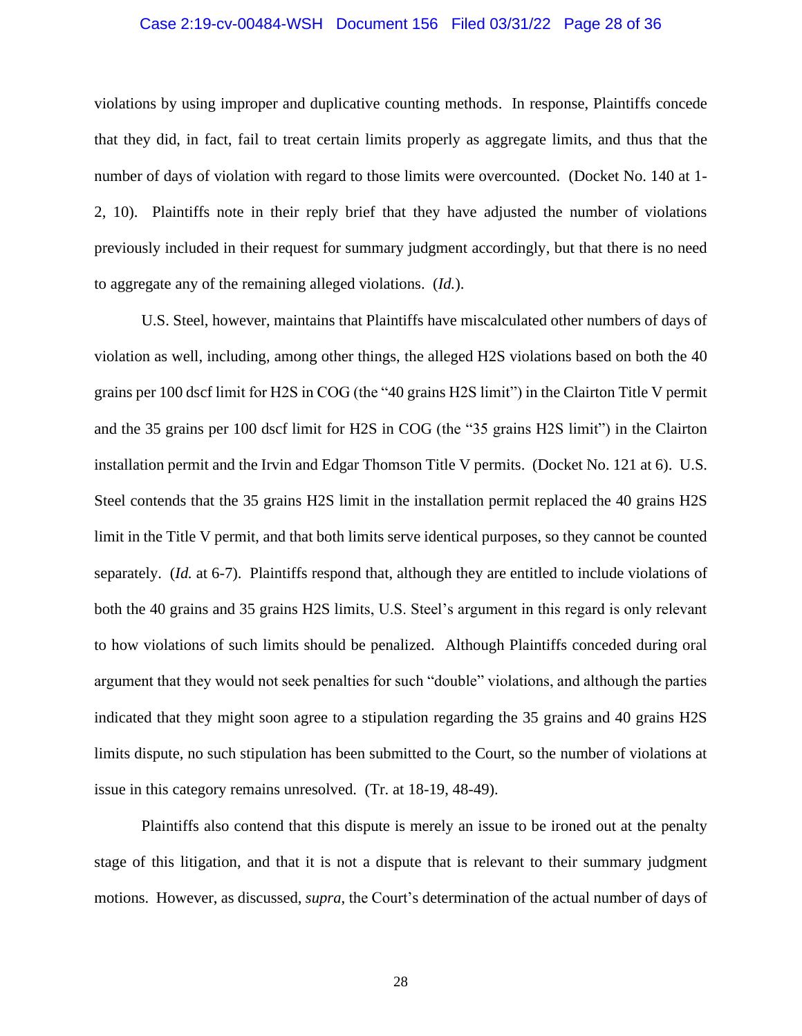#### Case 2:19-cv-00484-WSH Document 156 Filed 03/31/22 Page 28 of 36

violations by using improper and duplicative counting methods. In response, Plaintiffs concede that they did, in fact, fail to treat certain limits properly as aggregate limits, and thus that the number of days of violation with regard to those limits were overcounted. (Docket No. 140 at 1- 2, 10). Plaintiffs note in their reply brief that they have adjusted the number of violations previously included in their request for summary judgment accordingly, but that there is no need to aggregate any of the remaining alleged violations. (*Id.*).

U.S. Steel, however, maintains that Plaintiffs have miscalculated other numbers of days of violation as well, including, among other things, the alleged H2S violations based on both the 40 grains per 100 dscf limit for H2S in COG (the "40 grains H2S limit") in the Clairton Title V permit and the 35 grains per 100 dscf limit for H2S in COG (the "35 grains H2S limit") in the Clairton installation permit and the Irvin and Edgar Thomson Title V permits. (Docket No. 121 at 6). U.S. Steel contends that the 35 grains H2S limit in the installation permit replaced the 40 grains H2S limit in the Title V permit, and that both limits serve identical purposes, so they cannot be counted separately. (*Id.* at 6-7). Plaintiffs respond that, although they are entitled to include violations of both the 40 grains and 35 grains H2S limits, U.S. Steel's argument in this regard is only relevant to how violations of such limits should be penalized. Although Plaintiffs conceded during oral argument that they would not seek penalties for such "double" violations, and although the parties indicated that they might soon agree to a stipulation regarding the 35 grains and 40 grains H2S limits dispute, no such stipulation has been submitted to the Court, so the number of violations at issue in this category remains unresolved. (Tr. at 18-19, 48-49).

Plaintiffs also contend that this dispute is merely an issue to be ironed out at the penalty stage of this litigation, and that it is not a dispute that is relevant to their summary judgment motions. However, as discussed, *supra*, the Court's determination of the actual number of days of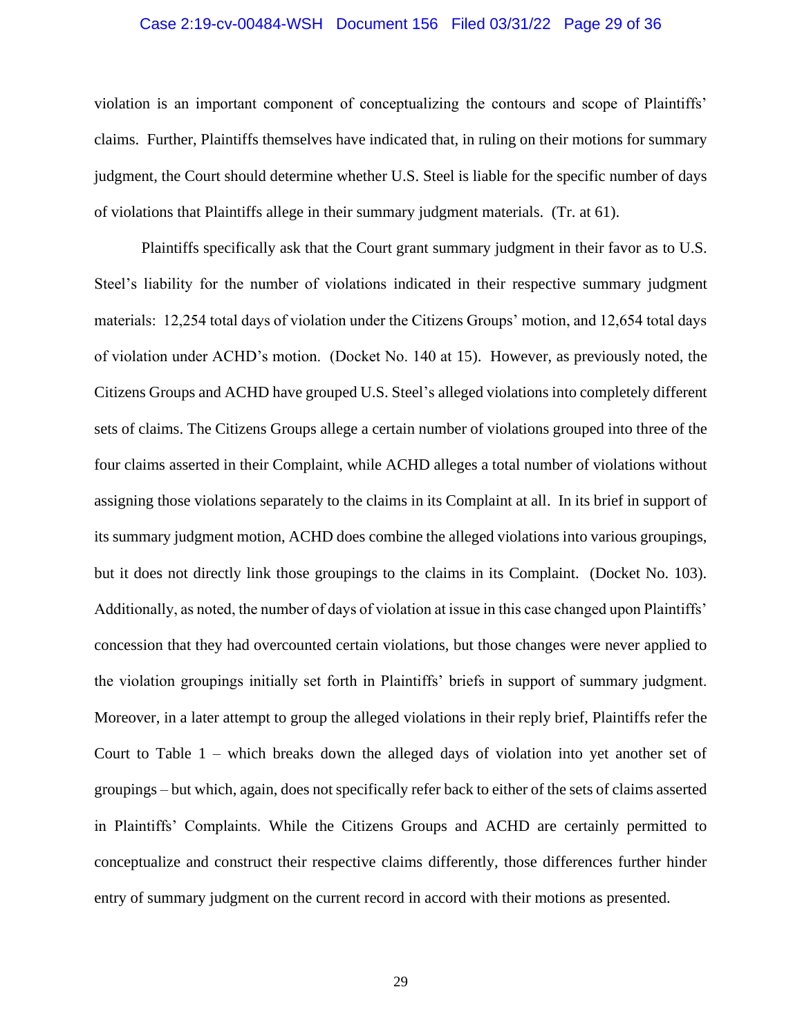#### Case 2:19-cv-00484-WSH Document 156 Filed 03/31/22 Page 29 of 36

violation is an important component of conceptualizing the contours and scope of Plaintiffs' claims. Further, Plaintiffs themselves have indicated that, in ruling on their motions for summary judgment, the Court should determine whether U.S. Steel is liable for the specific number of days of violations that Plaintiffs allege in their summary judgment materials. (Tr. at 61).

Plaintiffs specifically ask that the Court grant summary judgment in their favor as to U.S. Steel's liability for the number of violations indicated in their respective summary judgment materials: 12,254 total days of violation under the Citizens Groups' motion, and 12,654 total days of violation under ACHD's motion. (Docket No. 140 at 15). However, as previously noted, the Citizens Groups and ACHD have grouped U.S. Steel's alleged violations into completely different sets of claims. The Citizens Groups allege a certain number of violations grouped into three of the four claims asserted in their Complaint, while ACHD alleges a total number of violations without assigning those violations separately to the claims in its Complaint at all. In its brief in support of its summary judgment motion, ACHD does combine the alleged violations into various groupings, but it does not directly link those groupings to the claims in its Complaint. (Docket No. 103). Additionally, as noted, the number of days of violation at issue in this case changed upon Plaintiffs' concession that they had overcounted certain violations, but those changes were never applied to the violation groupings initially set forth in Plaintiffs' briefs in support of summary judgment. Moreover, in a later attempt to group the alleged violations in their reply brief, Plaintiffs refer the Court to Table 1 – which breaks down the alleged days of violation into yet another set of groupings – but which, again, does not specifically refer back to either of the sets of claims asserted in Plaintiffs' Complaints. While the Citizens Groups and ACHD are certainly permitted to conceptualize and construct their respective claims differently, those differences further hinder entry of summary judgment on the current record in accord with their motions as presented.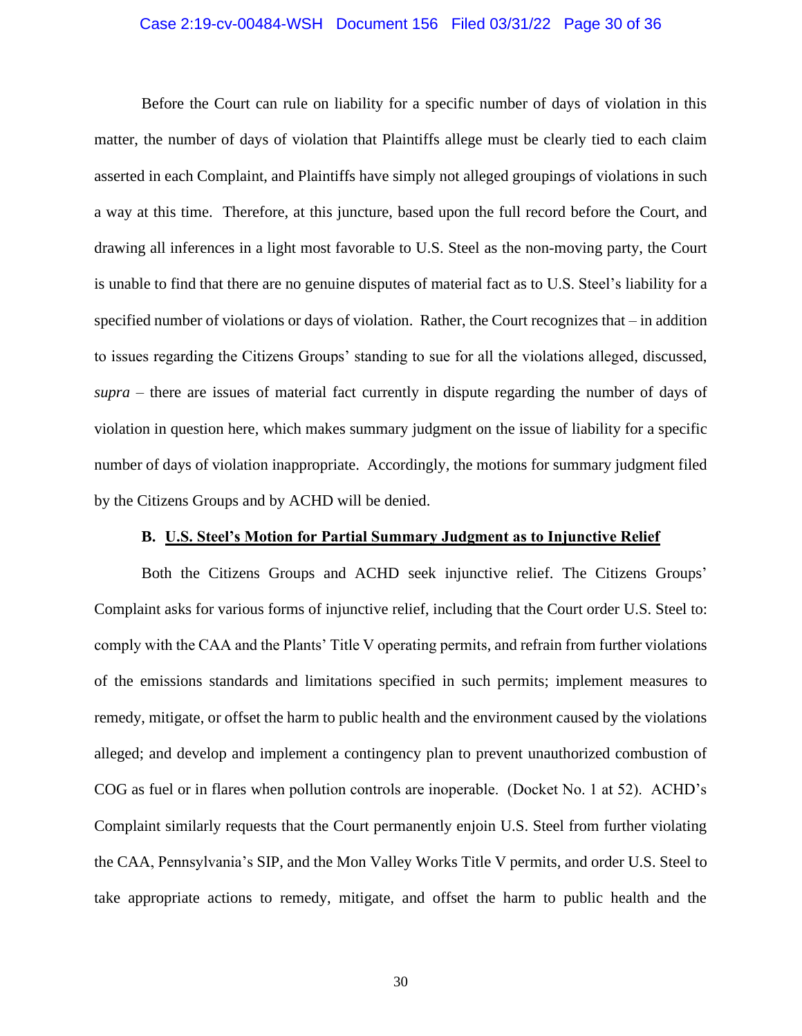#### Case 2:19-cv-00484-WSH Document 156 Filed 03/31/22 Page 30 of 36

Before the Court can rule on liability for a specific number of days of violation in this matter, the number of days of violation that Plaintiffs allege must be clearly tied to each claim asserted in each Complaint, and Plaintiffs have simply not alleged groupings of violations in such a way at this time. Therefore, at this juncture, based upon the full record before the Court, and drawing all inferences in a light most favorable to U.S. Steel as the non-moving party, the Court is unable to find that there are no genuine disputes of material fact as to U.S. Steel's liability for a specified number of violations or days of violation. Rather, the Court recognizes that – in addition to issues regarding the Citizens Groups' standing to sue for all the violations alleged, discussed, *supra* – there are issues of material fact currently in dispute regarding the number of days of violation in question here, which makes summary judgment on the issue of liability for a specific number of days of violation inappropriate. Accordingly, the motions for summary judgment filed by the Citizens Groups and by ACHD will be denied.

## **B. U.S. Steel's Motion for Partial Summary Judgment as to Injunctive Relief**

Both the Citizens Groups and ACHD seek injunctive relief. The Citizens Groups' Complaint asks for various forms of injunctive relief, including that the Court order U.S. Steel to: comply with the CAA and the Plants' Title V operating permits, and refrain from further violations of the emissions standards and limitations specified in such permits; implement measures to remedy, mitigate, or offset the harm to public health and the environment caused by the violations alleged; and develop and implement a contingency plan to prevent unauthorized combustion of COG as fuel or in flares when pollution controls are inoperable. (Docket No. 1 at 52). ACHD's Complaint similarly requests that the Court permanently enjoin U.S. Steel from further violating the CAA, Pennsylvania's SIP, and the Mon Valley Works Title V permits, and order U.S. Steel to take appropriate actions to remedy, mitigate, and offset the harm to public health and the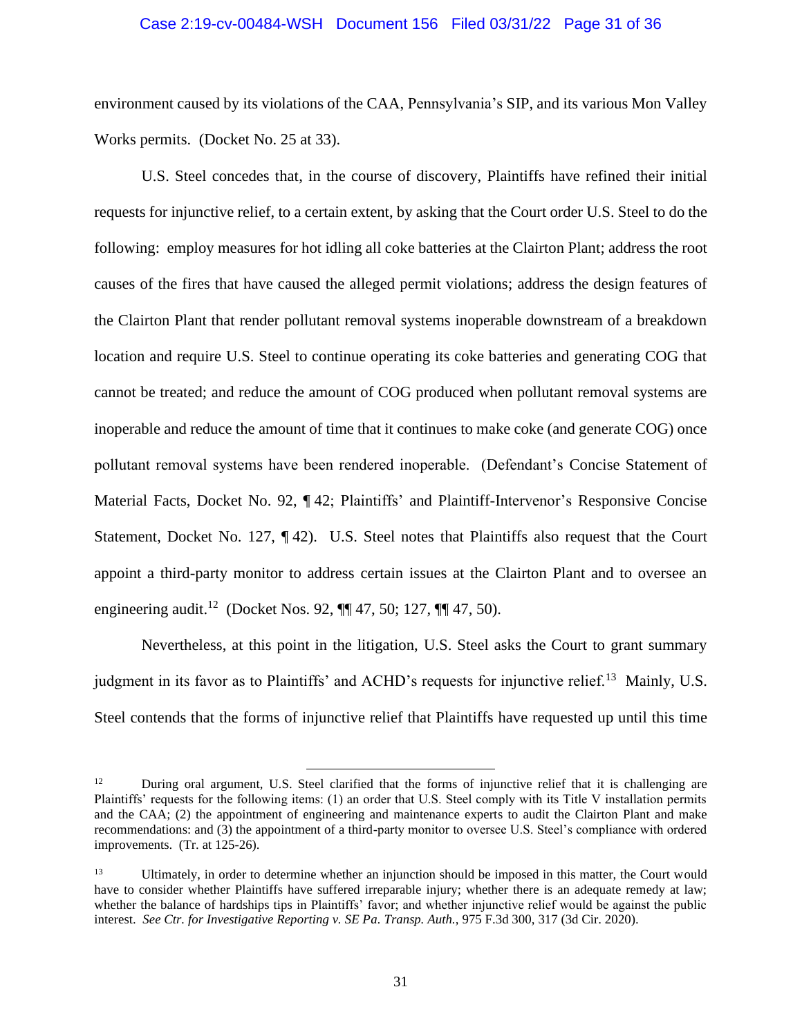#### Case 2:19-cv-00484-WSH Document 156 Filed 03/31/22 Page 31 of 36

environment caused by its violations of the CAA, Pennsylvania's SIP, and its various Mon Valley Works permits. (Docket No. 25 at 33).

U.S. Steel concedes that, in the course of discovery, Plaintiffs have refined their initial requests for injunctive relief, to a certain extent, by asking that the Court order U.S. Steel to do the following: employ measures for hot idling all coke batteries at the Clairton Plant; address the root causes of the fires that have caused the alleged permit violations; address the design features of the Clairton Plant that render pollutant removal systems inoperable downstream of a breakdown location and require U.S. Steel to continue operating its coke batteries and generating COG that cannot be treated; and reduce the amount of COG produced when pollutant removal systems are inoperable and reduce the amount of time that it continues to make coke (and generate COG) once pollutant removal systems have been rendered inoperable. (Defendant's Concise Statement of Material Facts, Docket No. 92, ¶42; Plaintiffs' and Plaintiff-Intervenor's Responsive Concise Statement, Docket No. 127, ¶ 42). U.S. Steel notes that Plaintiffs also request that the Court appoint a third-party monitor to address certain issues at the Clairton Plant and to oversee an engineering audit.<sup>12</sup> (Docket Nos. 92, ¶¶ 47, 50; 127, ¶¶ 47, 50).

Nevertheless, at this point in the litigation, U.S. Steel asks the Court to grant summary judgment in its favor as to Plaintiffs' and ACHD's requests for injunctive relief.<sup>13</sup> Mainly, U.S. Steel contends that the forms of injunctive relief that Plaintiffs have requested up until this time

<sup>&</sup>lt;sup>12</sup> During oral argument, U.S. Steel clarified that the forms of injunctive relief that it is challenging are Plaintiffs' requests for the following items: (1) an order that U.S. Steel comply with its Title V installation permits and the CAA; (2) the appointment of engineering and maintenance experts to audit the Clairton Plant and make recommendations: and (3) the appointment of a third-party monitor to oversee U.S. Steel's compliance with ordered improvements. (Tr. at 125-26).

<sup>&</sup>lt;sup>13</sup> Ultimately, in order to determine whether an injunction should be imposed in this matter, the Court would have to consider whether Plaintiffs have suffered irreparable injury; whether there is an adequate remedy at law; whether the balance of hardships tips in Plaintiffs' favor; and whether injunctive relief would be against the public interest. *See Ctr. for Investigative Reporting v. SE Pa. Transp. Auth.*, 975 F.3d 300, 317 (3d Cir. 2020).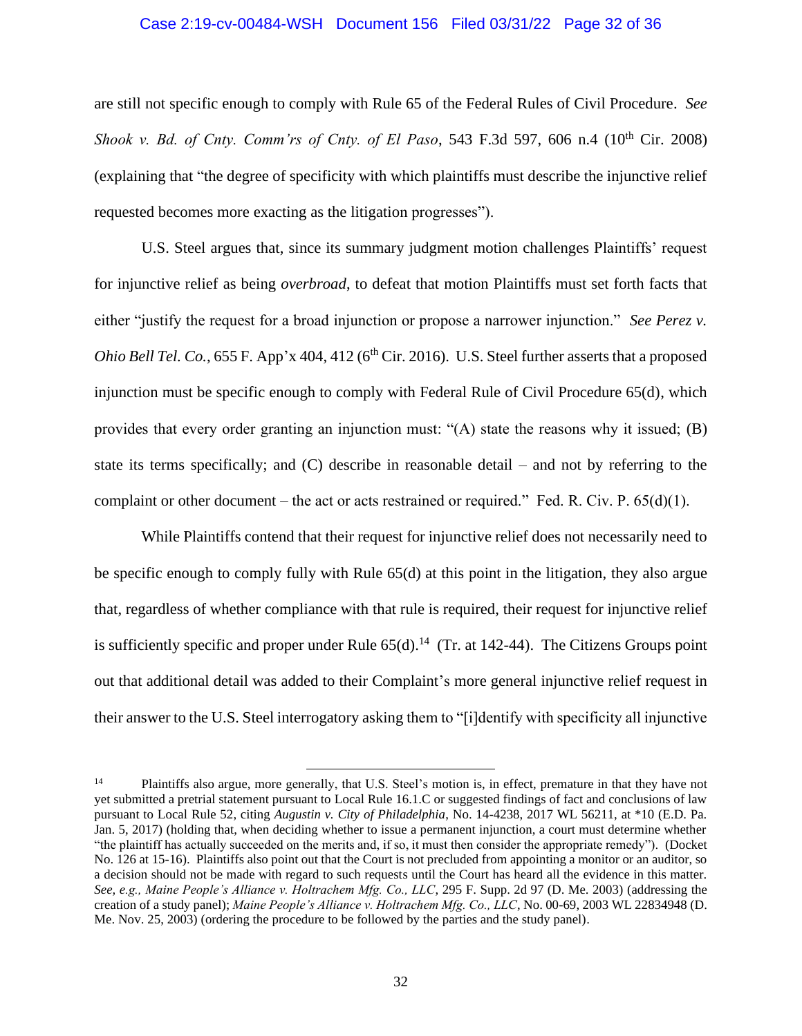#### Case 2:19-cv-00484-WSH Document 156 Filed 03/31/22 Page 32 of 36

are still not specific enough to comply with Rule 65 of the Federal Rules of Civil Procedure. *See Shook v. Bd. of Cnty. Comm'rs of Cnty. of El Paso,* 543 F.3d 597, 606 n.4 (10<sup>th</sup> Cir. 2008) (explaining that "the degree of specificity with which plaintiffs must describe the injunctive relief requested becomes more exacting as the litigation progresses").

U.S. Steel argues that, since its summary judgment motion challenges Plaintiffs' request for injunctive relief as being *overbroad*, to defeat that motion Plaintiffs must set forth facts that either "justify the request for a broad injunction or propose a narrower injunction." *See Perez v. Ohio Bell Tel. Co.*,  $655$  F. App'x  $404$ ,  $412$  ( $6<sup>th</sup>$  Cir. 2016). U.S. Steel further asserts that a proposed injunction must be specific enough to comply with Federal Rule of Civil Procedure 65(d), which provides that every order granting an injunction must: "(A) state the reasons why it issued; (B) state its terms specifically; and (C) describe in reasonable detail – and not by referring to the complaint or other document – the act or acts restrained or required." Fed. R. Civ. P.  $65(d)(1)$ .

While Plaintiffs contend that their request for injunctive relief does not necessarily need to be specific enough to comply fully with Rule 65(d) at this point in the litigation, they also argue that, regardless of whether compliance with that rule is required, their request for injunctive relief is sufficiently specific and proper under Rule  $65(d)$ .<sup>14</sup> (Tr. at 142-44). The Citizens Groups point out that additional detail was added to their Complaint's more general injunctive relief request in their answer to the U.S. Steel interrogatory asking them to "[i]dentify with specificity all injunctive

<sup>&</sup>lt;sup>14</sup> Plaintiffs also argue, more generally, that U.S. Steel's motion is, in effect, premature in that they have not yet submitted a pretrial statement pursuant to Local Rule 16.1.C or suggested findings of fact and conclusions of law pursuant to Local Rule 52, citing *Augustin v. City of Philadelphia*, No. 14-4238, 2017 WL 56211, at \*10 (E.D. Pa. Jan. 5, 2017) (holding that, when deciding whether to issue a permanent injunction, a court must determine whether "the plaintiff has actually succeeded on the merits and, if so, it must then consider the appropriate remedy"). (Docket No. 126 at 15-16). Plaintiffs also point out that the Court is not precluded from appointing a monitor or an auditor, so a decision should not be made with regard to such requests until the Court has heard all the evidence in this matter. *See, e.g., Maine People's Alliance v. Holtrachem Mfg. Co., LLC*, 295 F. Supp. 2d 97 (D. Me. 2003) (addressing the creation of a study panel); *Maine People's Alliance v. Holtrachem Mfg. Co., LLC*, No. 00-69, 2003 WL 22834948 (D. Me. Nov. 25, 2003) (ordering the procedure to be followed by the parties and the study panel).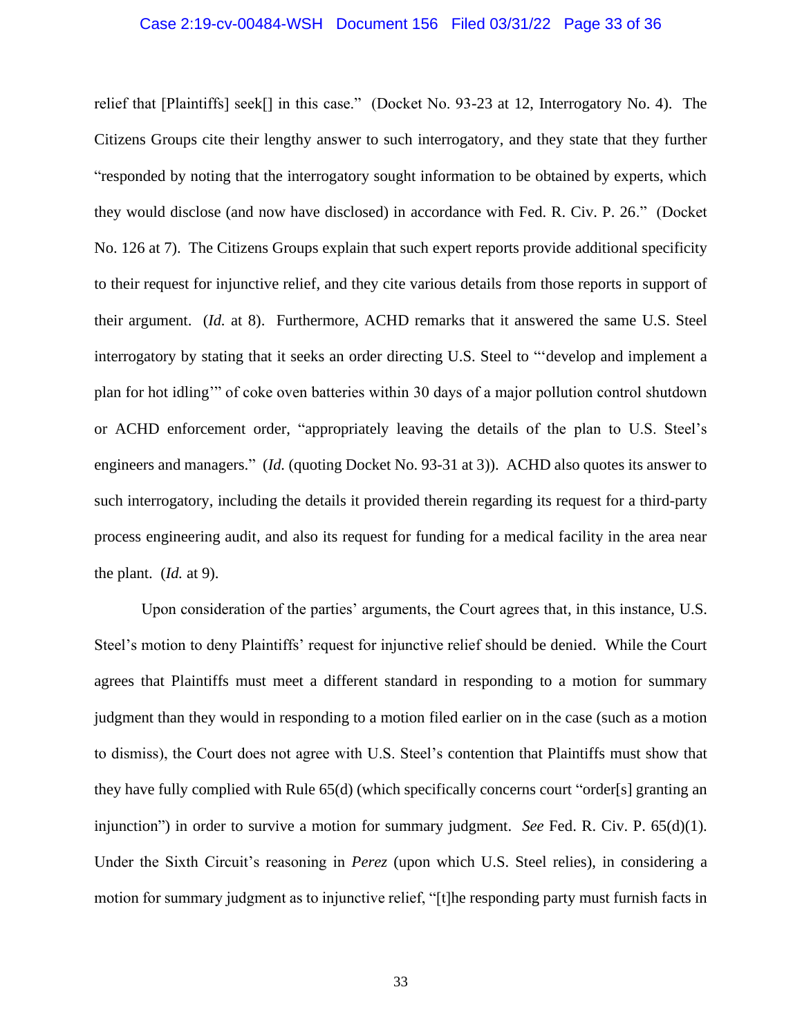#### Case 2:19-cv-00484-WSH Document 156 Filed 03/31/22 Page 33 of 36

relief that [Plaintiffs] seek[] in this case." (Docket No. 93-23 at 12, Interrogatory No. 4). The Citizens Groups cite their lengthy answer to such interrogatory, and they state that they further "responded by noting that the interrogatory sought information to be obtained by experts, which they would disclose (and now have disclosed) in accordance with Fed. R. Civ. P. 26." (Docket No. 126 at 7). The Citizens Groups explain that such expert reports provide additional specificity to their request for injunctive relief, and they cite various details from those reports in support of their argument. (*Id.* at 8). Furthermore, ACHD remarks that it answered the same U.S. Steel interrogatory by stating that it seeks an order directing U.S. Steel to "'develop and implement a plan for hot idling'" of coke oven batteries within 30 days of a major pollution control shutdown or ACHD enforcement order, "appropriately leaving the details of the plan to U.S. Steel's engineers and managers." (*Id.* (quoting Docket No. 93-31 at 3)). ACHD also quotes its answer to such interrogatory, including the details it provided therein regarding its request for a third-party process engineering audit, and also its request for funding for a medical facility in the area near the plant. (*Id.* at 9).

Upon consideration of the parties' arguments, the Court agrees that, in this instance, U.S. Steel's motion to deny Plaintiffs' request for injunctive relief should be denied. While the Court agrees that Plaintiffs must meet a different standard in responding to a motion for summary judgment than they would in responding to a motion filed earlier on in the case (such as a motion to dismiss), the Court does not agree with U.S. Steel's contention that Plaintiffs must show that they have fully complied with Rule 65(d) (which specifically concerns court "order[s] granting an injunction") in order to survive a motion for summary judgment. *See* Fed. R. Civ. P. 65(d)(1). Under the Sixth Circuit's reasoning in *Perez* (upon which U.S. Steel relies), in considering a motion for summary judgment as to injunctive relief, "[t]he responding party must furnish facts in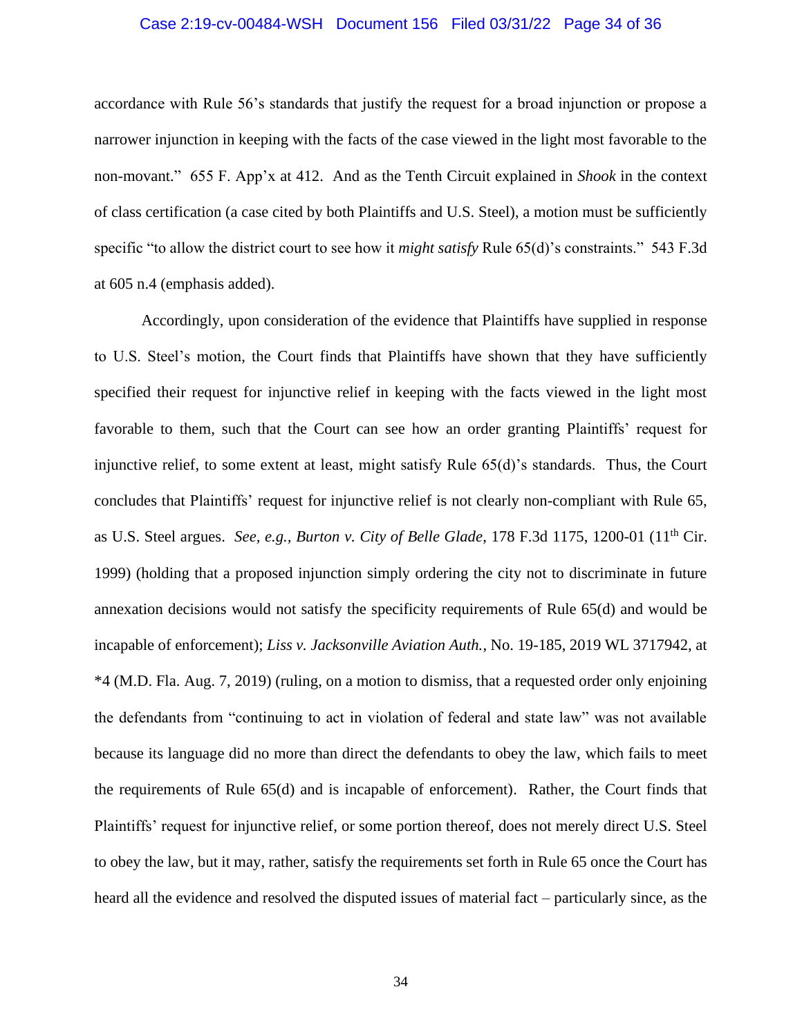#### Case 2:19-cv-00484-WSH Document 156 Filed 03/31/22 Page 34 of 36

accordance with Rule 56's standards that justify the request for a broad injunction or propose a narrower injunction in keeping with the facts of the case viewed in the light most favorable to the non-movant." 655 F. App'x at 412. And as the Tenth Circuit explained in *Shook* in the context of class certification (a case cited by both Plaintiffs and U.S. Steel), a motion must be sufficiently specific "to allow the district court to see how it *might satisfy* Rule 65(d)'s constraints." 543 F.3d at 605 n.4 (emphasis added).

Accordingly, upon consideration of the evidence that Plaintiffs have supplied in response to U.S. Steel's motion, the Court finds that Plaintiffs have shown that they have sufficiently specified their request for injunctive relief in keeping with the facts viewed in the light most favorable to them, such that the Court can see how an order granting Plaintiffs' request for injunctive relief, to some extent at least, might satisfy Rule 65(d)'s standards. Thus, the Court concludes that Plaintiffs' request for injunctive relief is not clearly non-compliant with Rule 65, as U.S. Steel argues. *See, e.g., Burton v. City of Belle Glade*, 178 F.3d 1175, 1200-01 (11th Cir. 1999) (holding that a proposed injunction simply ordering the city not to discriminate in future annexation decisions would not satisfy the specificity requirements of Rule 65(d) and would be incapable of enforcement); *Liss v. Jacksonville Aviation Auth.*, No. 19-185, 2019 WL 3717942, at \*4 (M.D. Fla. Aug. 7, 2019) (ruling, on a motion to dismiss, that a requested order only enjoining the defendants from "continuing to act in violation of federal and state law" was not available because its language did no more than direct the defendants to obey the law, which fails to meet the requirements of Rule 65(d) and is incapable of enforcement). Rather, the Court finds that Plaintiffs' request for injunctive relief, or some portion thereof, does not merely direct U.S. Steel to obey the law, but it may, rather, satisfy the requirements set forth in Rule 65 once the Court has heard all the evidence and resolved the disputed issues of material fact – particularly since, as the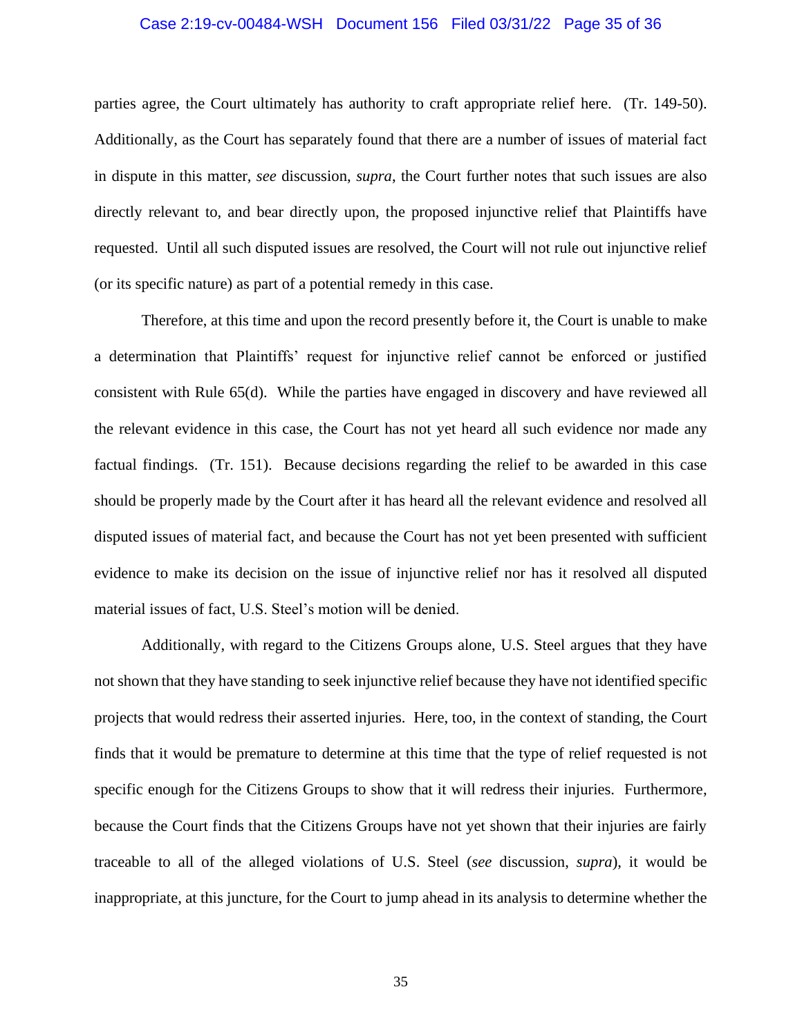#### Case 2:19-cv-00484-WSH Document 156 Filed 03/31/22 Page 35 of 36

parties agree, the Court ultimately has authority to craft appropriate relief here. (Tr. 149-50). Additionally, as the Court has separately found that there are a number of issues of material fact in dispute in this matter, *see* discussion, *supra*, the Court further notes that such issues are also directly relevant to, and bear directly upon, the proposed injunctive relief that Plaintiffs have requested. Until all such disputed issues are resolved, the Court will not rule out injunctive relief (or its specific nature) as part of a potential remedy in this case.

Therefore, at this time and upon the record presently before it, the Court is unable to make a determination that Plaintiffs' request for injunctive relief cannot be enforced or justified consistent with Rule 65(d). While the parties have engaged in discovery and have reviewed all the relevant evidence in this case, the Court has not yet heard all such evidence nor made any factual findings. (Tr. 151). Because decisions regarding the relief to be awarded in this case should be properly made by the Court after it has heard all the relevant evidence and resolved all disputed issues of material fact, and because the Court has not yet been presented with sufficient evidence to make its decision on the issue of injunctive relief nor has it resolved all disputed material issues of fact, U.S. Steel's motion will be denied.

Additionally, with regard to the Citizens Groups alone, U.S. Steel argues that they have not shown that they have standing to seek injunctive relief because they have not identified specific projects that would redress their asserted injuries. Here, too, in the context of standing, the Court finds that it would be premature to determine at this time that the type of relief requested is not specific enough for the Citizens Groups to show that it will redress their injuries. Furthermore, because the Court finds that the Citizens Groups have not yet shown that their injuries are fairly traceable to all of the alleged violations of U.S. Steel (*see* discussion, *supra*), it would be inappropriate, at this juncture, for the Court to jump ahead in its analysis to determine whether the